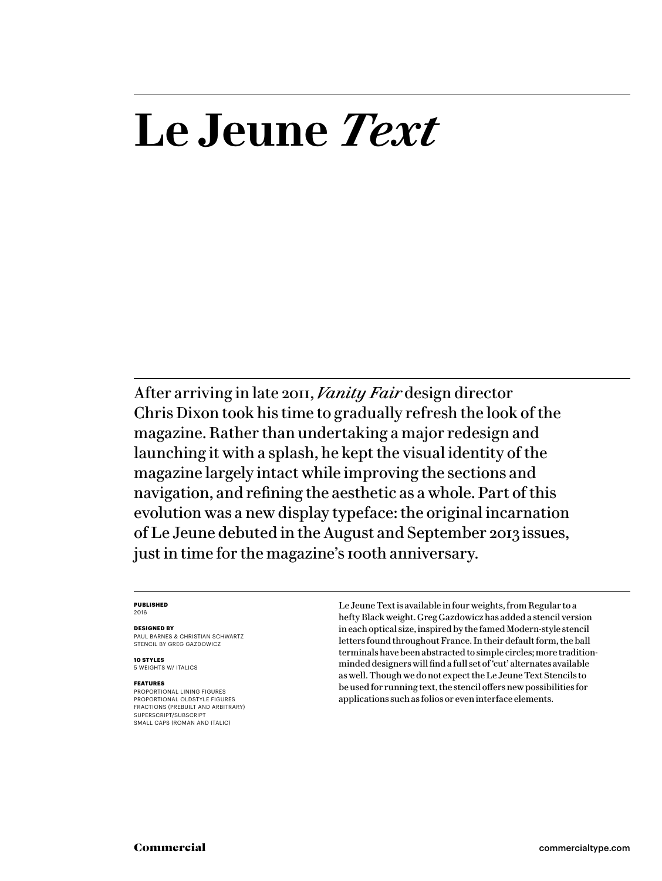# **Le Jeune** *Text*

After arriving in late 2011, *Vanity Fair* design director Chris Dixon took his time to gradually refresh the look of the magazine. Rather than undertaking a major redesign and launching it with a splash, he kept the visual identity of the magazine largely intact while improving the sections and navigation, and refining the aesthetic as a whole. Part of this evolution was a new display typeface: the original incarnation of Le Jeune debuted in the August and September 2013 issues, just in time for the magazine's 100th anniversary.

#### **PUBLISHED** 2016

#### **DESIGNED BY**

PAUL BARNES & CHRISTIAN SCHWARTZ STENCIL BY GREG GAZDOWICZ

**10 STYLES** 5 WEIGHTS W/ ITALICS

#### **FEATURES**

PROPORTIONAL LINING FIGURES PROPORTIONAL OLDSTYLE FIGURES FRACTIONS (PREBUILT AND ARBITRARY) SUPERSCRIPT/SUBSCRIPT SMALL CAPS (ROMAN AND ITALIC)

Le Jeune Text is available in four weights, from Regular to a hefty Black weight. Greg Gazdowicz has added a stencil version in each optical size, inspired by the famed Modern-style stencil letters found throughout France. In their default form, the ball terminals have been abstracted to simple circles; more traditionminded designers will find a full set of 'cut' alternates available as well. Though we do not expect the Le Jeune Text Stencils to be used for running text, the stencil offers new possibilities for applications such as folios or even interface elements.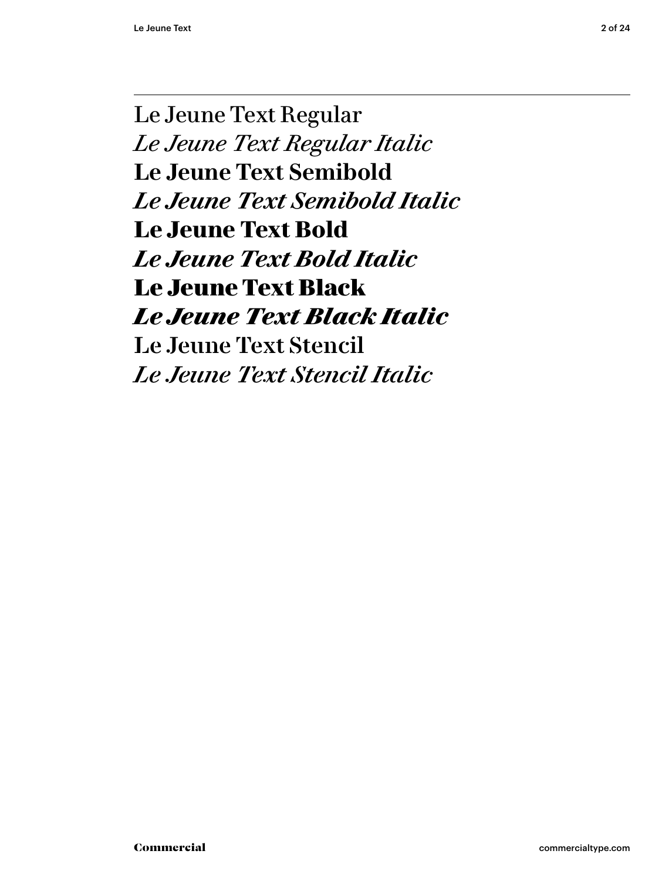Le Jeune Text Regular *Le Jeune Text Regular Italic* **Le Jeune Text Semibold** *Le Jeune Text Semibold Italic* **Le Jeune Text Bold** *Le Jeune Text Bold Italic* Le Jeune Text Black *Le Jeune Text Black Italic* Le Jeune Text Stencil *Le Jeune Text Stencil Italic*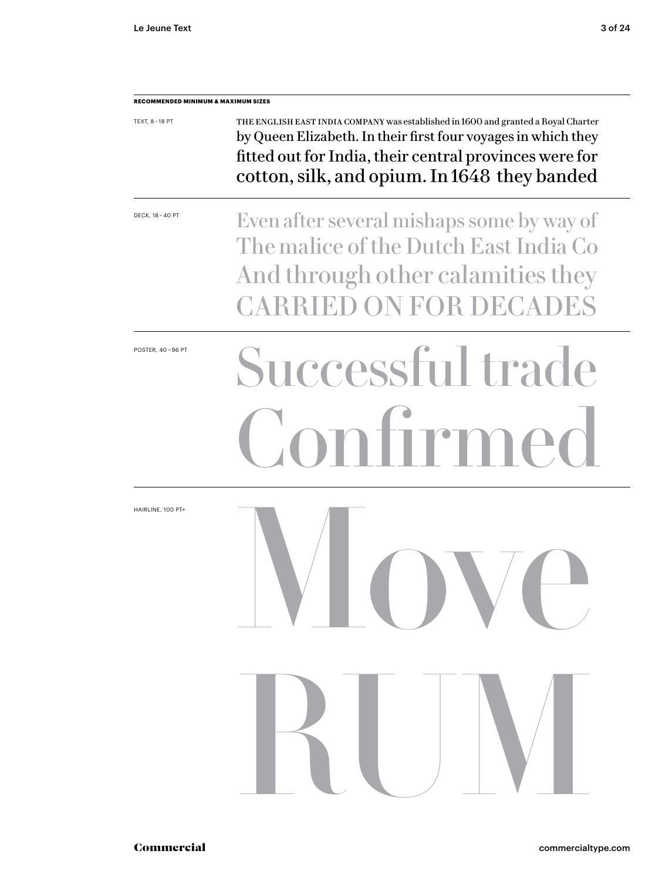| TEXT, 8-18 PT           | THE ENGLISH EAST INDIA COMPANY was established in 1600 and granted a Royal Charter<br>by Queen Elizabeth. In their first four voyages in which they<br>fitted out for India, their central provinces were for<br>cotton, silk, and opium. In 1648 they banded |  |  |  |  |
|-------------------------|---------------------------------------------------------------------------------------------------------------------------------------------------------------------------------------------------------------------------------------------------------------|--|--|--|--|
| DECK, 18 - 40 PT        | Even after several mishaps some by way of<br>The malice of the Dutch East India Co<br>And through other calamities they<br><b>CARRIED ON FOR DECADES</b>                                                                                                      |  |  |  |  |
| <b>POSTER, 40-96 PT</b> | Successful trade<br>nfirmed<br>$\Omega$                                                                                                                                                                                                                       |  |  |  |  |
| HAIRLINE, 100 PT+       | <b>VIII VIII</b>                                                                                                                                                                                                                                              |  |  |  |  |
|                         | RUV                                                                                                                                                                                                                                                           |  |  |  |  |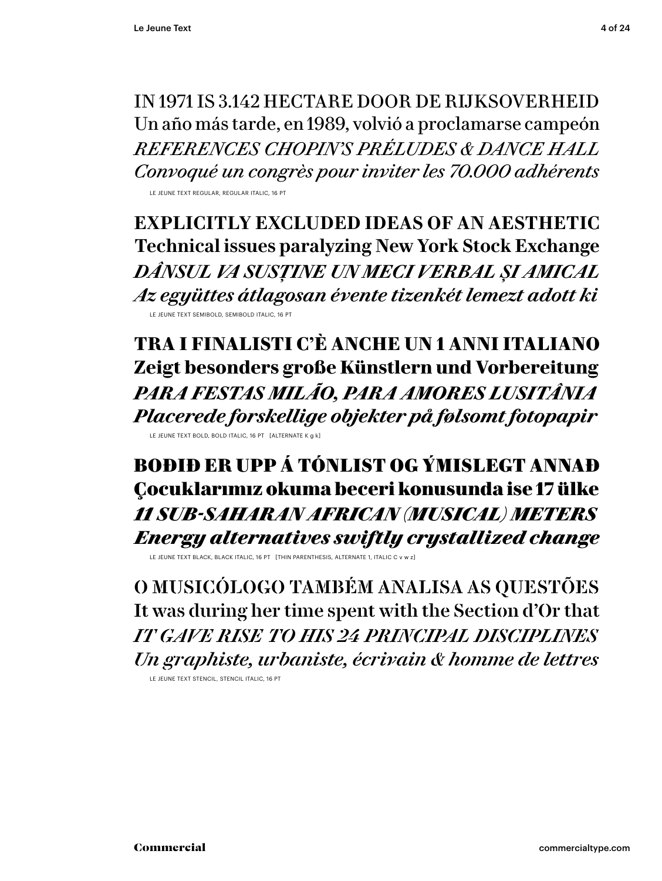IN 1971 IS 3.142 HECTARE DOOR DE RIJKSOVERHEID Un año más tarde, en 1989, volvió a proclamarse campeón *REFERENCES CHOPIN 'S PRÉLUDES & DANCE HALL Convoqué un congrès pour inviter les 70.000 adhérents*

LE JEUNE TEXT REGULAR, REGULAR ITALIC, 16 PT

**EXPLICITLY EXCLUDED IDEAS OF AN AESTHETIC Technical issues paralyzing New York Stock Exchange** *DÂNSUL VA SUSȚINE UN MECI VERBAL ȘI AMICAL Az együttes átlagosan évente tizenkét lemezt adott ki* LE JEUNE TEXT SEMIBOLD, SEMIBOLD ITALIC, 16 PT

**TRA I FINALISTI C'È ANCHE UN 1 ANNI ITALIANO Zeigt besonders große Künstlern und Vorbereitung** *PARA FESTAS MILÃO, PARA AMORES LUSITÂNIA Placerede forskellige objekter på følsomt fotopapir* LE JEUNE TEXT BOLD, BOLD ITALIC, 16 PT [ALTERNATE K g k]

BOÐIÐ ER UPP Á TÓNLIST OG ÝMISLEGT ANNAÐ Çocuklarımız okuma beceri konusunda ise 17 ülke *11 SUB-SAHARAN AFRICAN (MUSICAL) METERS Energy alternatives swiftly crystallized change*

LE JEUNE TEXT BLACK, BLACK ITALIC, 16 PT [THIN PARENTHESIS, ALTERNATE 1, ITALIC C v w z]

O MUSICÓLOGO TAMBÉM ANALISA AS QUESTÕES It was during her time spent with the Section d'Or that *IT GAVE RISE TO HIS 24 PRINCIPAL DISCIPLINES Un graphiste, urbaniste, écrivain & homme de lettres*

LE JEUNE TEXT STENCIL, STENCIL ITALIC, 16 PT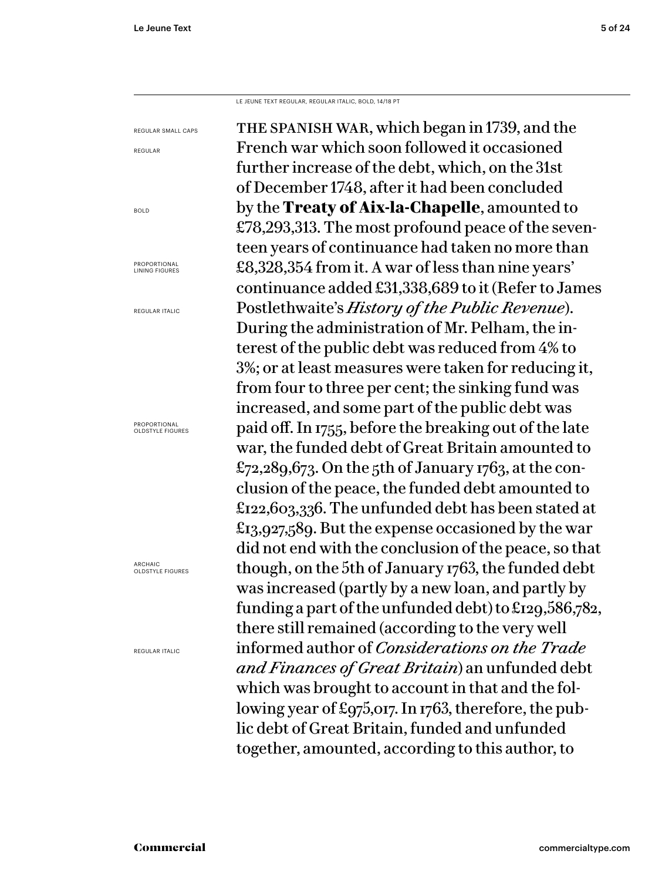REGULAR

BOLD

LE JEUNE TEXT REGULAR, REGULAR ITALIC, BOLD, 14/18 PT

the spanish war, which began in 1739, and the French war which soon followed it occasioned further increase of the debt, which, on the 31st of December 1748, after it had been concluded by the **Treaty of Aix-la-Chapelle**, amounted to £78,293,313. The most profound peace of the seventeen years of continuance had taken no more than £8,328,354 from it. A war of less than nine years' continuance added £31,338,689 to it (Refer to James Postlethwaite's *History of the Public Revenue*). During the administration of Mr. Pelham, the interest of the public debt was reduced from 4% to 3%; or at least measures were taken for reducing it, from four to three per cent; the sinking fund was increased, and some part of the public debt was paid off. In 1755, before the breaking out of the late war, the funded debt of Great Britain amounted to £72,289,673. On the 5th of January 1763, at the conclusion of the peace, the funded debt amounted to £122,603,336. The unfunded debt has been stated at £13,927,589. But the expense occasioned by the war did not end with the conclusion of the peace, so that though, on the 5th of January 1763, the funded debt was increased (partly by a new loan, and partly by funding a part of the unfunded debt) to £129,586,782, there still remained (according to the very well informed author of *Considerations on the Trade*  and Finances of Great Britain) an unfunded debt which was brought to account in that and the following year of £975,017. In 1763, therefore, the public debt of Great Britain, funded and unfunded together, amounted, according to this author, to REGULAR SMALL CAPS PROPORTIONAL LINING FIGURES REGULAR ITALIC PROPORTIONAL OLDSTYLE FIGURES ARCHAIC OLDSTYLE FIGURES REGULAR ITALIC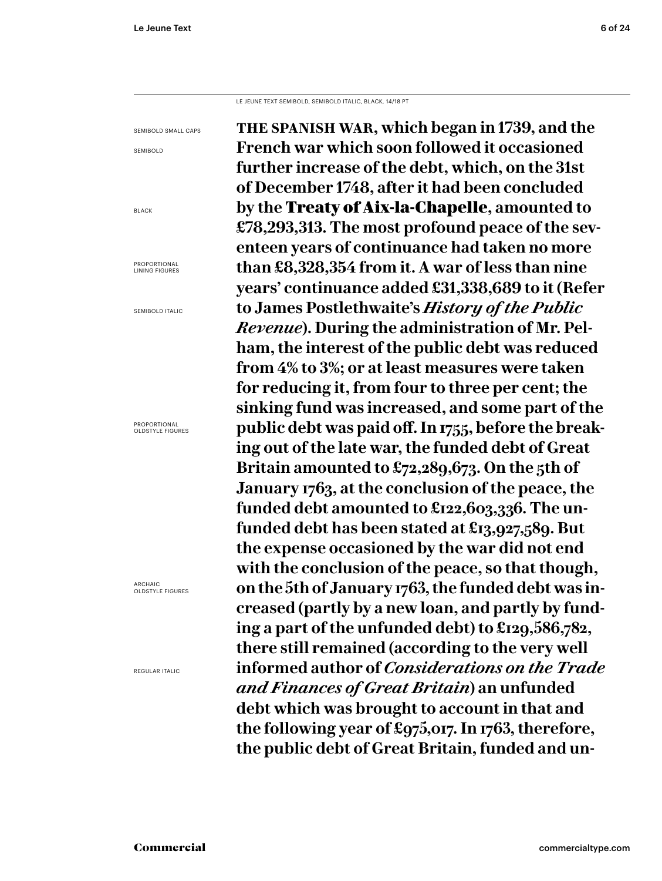LE JEUNE TEXT SEMIBOLD, SEMIBOLD ITALIC, BLACK, 14/18 PT

SEMIBOLD SMALL CAPS SEMIBOLD **the spanish war, which began in 1739, and the French war which soon followed it occasioned further increase of the debt, which, on the 31st of December 1748, after it had been concluded by the** Treaty of Aix-la-Chapelle**, amounted to £78,293,313. The most profound peace of the seventeen years of continuance had taken no more than £8,328,354 from it. A war of less than nine years' continuance added £31,338,689 to it (Refer to James Postlethwaite's** *History of the Public Revenue***). During the administration of Mr. Pelham, the interest of the public debt was reduced from 4% to 3%; or at least measures were taken for reducing it, from four to three per cent; the sinking fund was increased, and some part of the public debt was paid off. In 1755, before the breaking out of the late war, the funded debt of Great Britain amounted to £72,289,673. On the 5th of January 1763, at the conclusion of the peace, the funded debt amounted to £122,603,336. The unfunded debt has been stated at £13,927,589. But the expense occasioned by the war did not end with the conclusion of the peace, so that though, on the 5th of January 1763, the funded debt was increased (partly by a new loan, and partly by funding a part of the unfunded debt) to £129,586,782, there still remained (according to the very well informed author of** *Considerations on the Trade and Finances of Great Britain***) an unfunded debt which was brought to account in that and the following year of £975,017. In 1763, therefore, the public debt of Great Britain, funded and un-**

BLACK

PROPORTIONAL LINING FIGURES

SEMIBOLD ITALIC

PROPORTIONAL OLDSTYLE FIGURES

ARCHAIC OLDSTYLE FIGURES

REGULAR ITALIC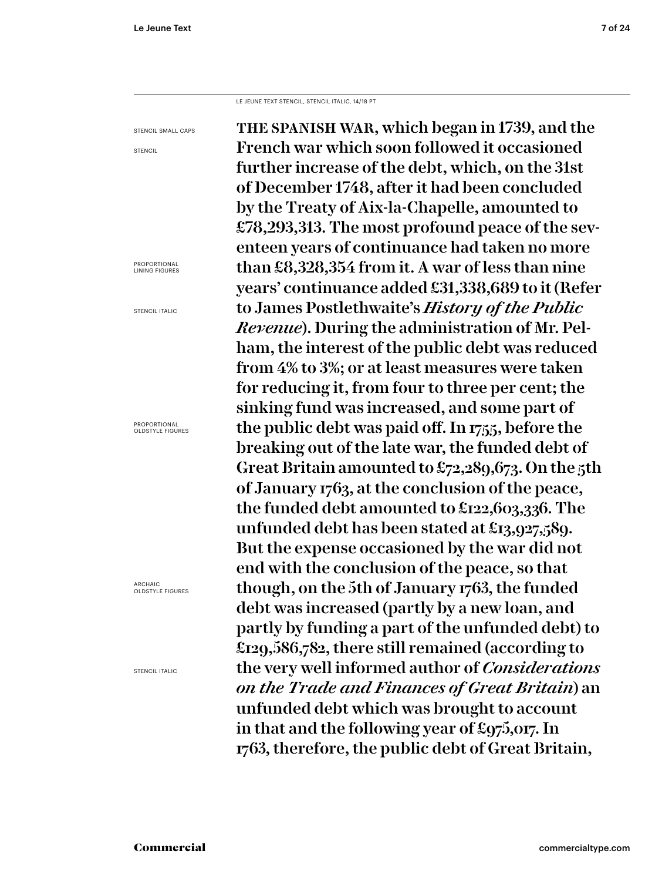LE JEUNE TEXT STENCIL, STENCIL ITALIC, 14/18 PT

the spanish war, which began in 1739, and the French war which soon followed it occasioned further increase of the debt, which, on the 31st of December 1748, after it had been concluded by the Treaty of Aix-la-Chapelle, amounted to £78,293,313. The most profound peace of the seventeen years of continuance had taken no more than £8,328,354 from it. A war of less than nine years' continuance added £31,338,689 to it (Refer to James Postlethwaite's *History of the Public Revenue*). During the administration of Mr. Pelham, the interest of the public debt was reduced from 4% to 3%; or at least measures were taken for reducing it, from four to three per cent; the sinking fund was increased, and some part of the public debt was paid off. In 1755, before the breaking out of the late war, the funded debt of Great Britain amounted to £72,289,673. On the 5th of January 1763, at the conclusion of the peace, the funded debt amounted to £122,603,336. The unfunded debt has been stated at £13,927,589. But the expense occasioned by the war did not end with the conclusion of the peace, so that though, on the 5th of January 1763, the funded debt was increased (partly by a new loan, and partly by funding a part of the unfunded debt) to £129,586,782, there still remained (according to the very well informed author of *Considerations on the Trade and Finances of Great Britain*) an unfunded debt which was brought to account in that and the following year of £975,017. In 1763, therefore, the public debt of Great Britain, STENCIL SMALL CAPS PROPORTIONAL LINING FIGURES STENCIL ITALIC

**STENCIL** 

PROPORTIONAL OLDSTYLE FIGURES

ARCHAIC OLDSTYLE FIGURES

STENCIL ITALIC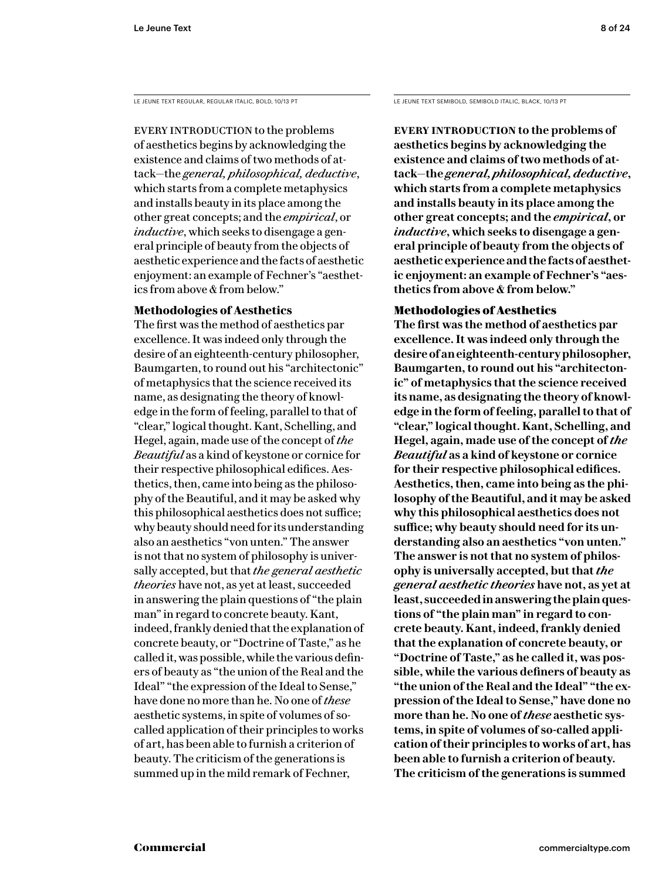LE JEUNE TEXT REGULAR, REGULAR ITALIC, BOLD, 10/13 PT LE JEUNE TEXT SEMIBOLD, SEMIBOLD ITALIC, BLACK, 10/13 PT

EVERY INTRODUCTION to the problems of aesthetics begins by acknowledging the existence and claims of two methods of attack—the *general, philosophical, deductive*, which starts from a complete metaphysics and installs beauty in its place among the other great concepts; and the *empirical*, or *inductive*, which seeks to disengage a general principle of beauty from the objects of aesthetic experience and the facts of aesthetic enjoyment: an example of Fechner's "aesthetics from above & from below."

# **Methodologies of Aesthetics**

The first was the method of aesthetics par excellence. It was indeed only through the desire of an eighteenth-century philosopher, Baumgarten, to round out his "architectonic" of metaphysics that the science received its name, as designating the theory of knowledge in the form of feeling, parallel to that of "clear," logical thought. Kant, Schelling, and Hegel, again, made use of the concept of *the Beautiful* as a kind of keystone or cornice for their respective philosophical edifices. Aesthetics, then, came into being as the philosophy of the Beautiful, and it may be asked why this philosophical aesthetics does not suffice; why beauty should need for its understanding also an aesthetics "von unten." The answer is not that no system of philosophy is universally accepted, but that *the general aesthetic theories* have not, as yet at least, succeeded in answering the plain questions of "the plain man" in regard to concrete beauty. Kant, indeed, frankly denied that the explanation of concrete beauty, or "Doctrine of Taste," as he called it, was possible, while the various definers of beauty as "the union of the Real and the Ideal" "the expression of the Ideal to Sense," have done no more than he. No one of *these* aesthetic systems, in spite of volumes of socalled application of their principles to works of art, has been able to furnish a criterion of beauty. The criticism of the generations is summed up in the mild remark of Fechner,

**Every introduction to the problems of aesthetics begins by acknowledging the existence and claims of two methods of attack—the** *general, philosophical, deductive***, which starts from a complete metaphysics and installs beauty in its place among the other great concepts; and the** *empirical***, or**  *inductive***, which seeks to disengage a general principle of beauty from the objects of aesthetic experience and the facts of aesthetic enjoyment: an example of Fechner's "aesthetics from above & from below."** 

# Methodologies of Aesthetics

**The first was the method of aesthetics par excellence. It was indeed only through the desire of an eighteenth-century philosopher, Baumgarten, to round out his "architectonic" of metaphysics that the science received its name, as designating the theory of knowledge in the form of feeling, parallel to that of "clear," logical thought. Kant, Schelling, and Hegel, again, made use of the concept of** *the Beautiful* **as a kind of keystone or cornice for their respective philosophical edifices. Aesthetics, then, came into being as the philosophy of the Beautiful, and it may be asked why this philosophical aesthetics does not suffice; why beauty should need for its understanding also an aesthetics "von unten." The answer is not that no system of philosophy is universally accepted, but that** *the general aesthetic theories* **have not, as yet at least, succeeded in answering the plain questions of "the plain man" in regard to concrete beauty. Kant, indeed, frankly denied that the explanation of concrete beauty, or "Doctrine of Taste," as he called it, was possible, while the various definers of beauty as "the union of the Real and the Ideal" "the expression of the Ideal to Sense," have done no more than he. No one of** *these* **aesthetic systems, in spite of volumes of so-called application of their principles to works of art, has been able to furnish a criterion of beauty. The criticism of the generations is summed**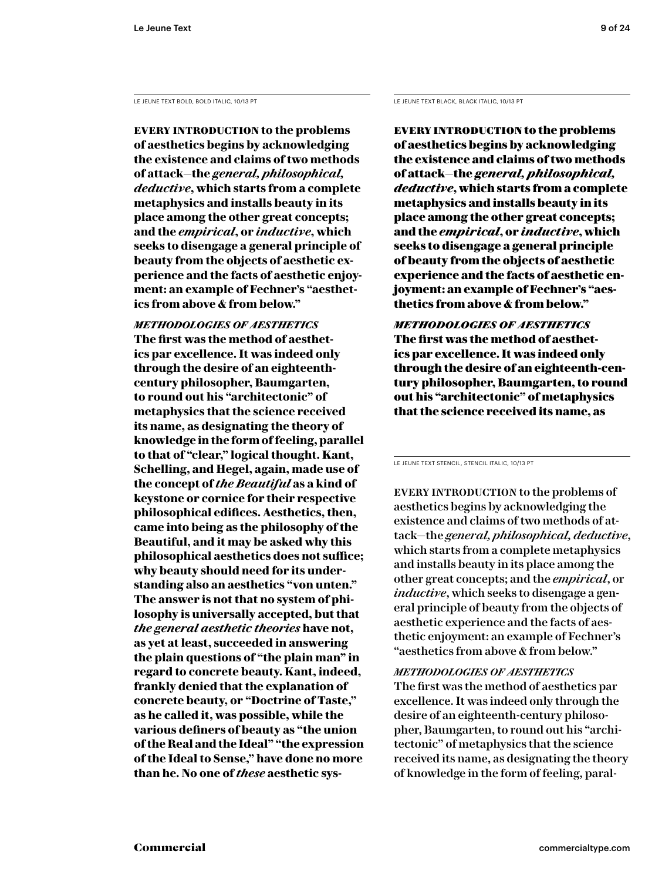**Every introduction to the problems of aesthetics begins by acknowledging the existence and claims of two methods of attack—the** *general, philosophical, deductive***, which starts from a complete metaphysics and installs beauty in its place among the other great concepts; and the** *empirical***, or** *inductive***, which seeks to disengage a general principle of beauty from the objects of aesthetic experience and the facts of aesthetic enjoyment: an example of Fechner's "aesthetics from above & from below."** 

*methodologies of aesthetics* **The first was the method of aesthetics par excellence. It was indeed only through the desire of an eighteenthcentury philosopher, Baumgarten, to round out his "architectonic" of metaphysics that the science received its name, as designating the theory of knowledge in the form of feeling, parallel to that of "clear," logical thought. Kant, Schelling, and Hegel, again, made use of the concept of** *the Beautiful* **as a kind of keystone or cornice for their respective philosophical edifices. Aesthetics, then, came into being as the philosophy of the Beautiful, and it may be asked why this philosophical aesthetics does not suffice; why beauty should need for its understanding also an aesthetics "von unten." The answer is not that no system of philosophy is universally accepted, but that**  *the general aesthetic theories* **have not, as yet at least, succeeded in answering the plain questions of "the plain man" in regard to concrete beauty. Kant, indeed, frankly denied that the explanation of concrete beauty, or "Doctrine of Taste," as he called it, was possible, while the various definers of beauty as "the union of the Real and the Ideal" "the expression of the Ideal to Sense," have done no more than he. No one of** *these* **aesthetic sys-**

LE JEUNE TEXT BOLD, BOLD ITALIC, 10/13 PT LE JEUNE TEXT BLACK, BLACK ITALIC, 10/13 PT

Every introduction to the problems of aesthetics begins by acknowledging the existence and claims of two methods of attack—the *general, philosophical, deductive*, which starts from a complete metaphysics and installs beauty in its place among the other great concepts; and the *empirical*, or *inductive*, which seeks to disengage a general principle of beauty from the objects of aesthetic experience and the facts of aesthetic enjoyment: an example of Fechner's "aesthetics from above & from below."

*methodologies of aesthetics* The first was the method of aesthetics par excellence. It was indeed only through the desire of an eighteenth-century philosopher, Baumgarten, to round out his "architectonic" of metaphysics that the science received its name, as

LE JEUNE TEXT STENCIL, STENCIL ITALIC, 10/13 PT

EVERY INTRODUCTION to the problems of aesthetics begins by acknowledging the existence and claims of two methods of attack—the *general, philosophical, deductive*, which starts from a complete metaphysics and installs beauty in its place among the other great concepts; and the *empirical*, or *inductive*, which seeks to disengage a general principle of beauty from the objects of aesthetic experience and the facts of aesthetic enjoyment: an example of Fechner's "aesthetics from above & from below."

# *methodologies of aesthetics*

The first was the method of aesthetics par excellence. It was indeed only through the desire of an eighteenth-century philosopher, Baumgarten, to round out his "architectonic" of metaphysics that the science received its name, as designating the theory of knowledge in the form of feeling, paral-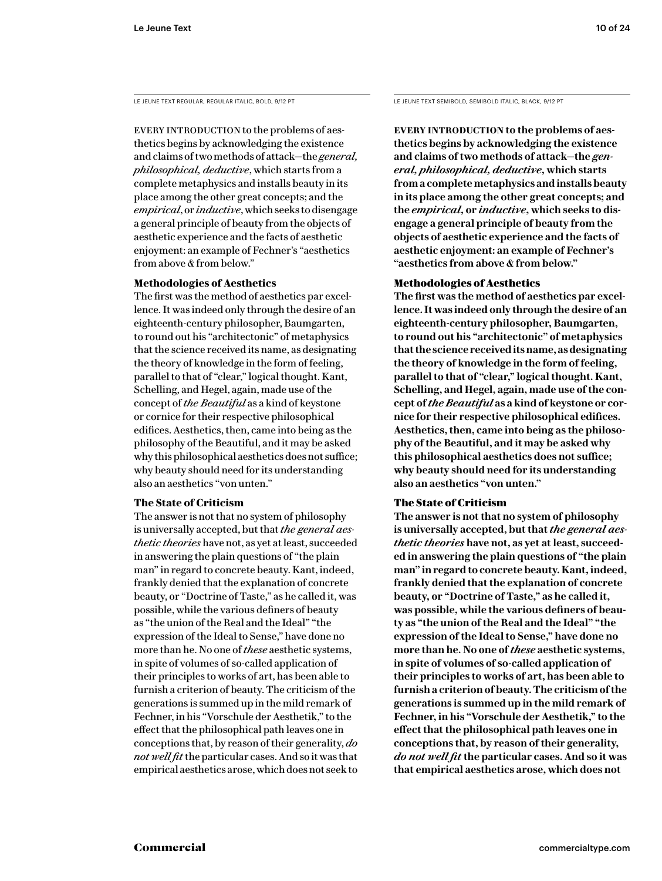EVERY INTRODUCTION to the problems of aesthetics begins by acknowledging the existence and claims of two methods of attack—the *general, philosophical, deductive*, which starts from a complete metaphysics and installs beauty in its place among the other great concepts; and the *empirical*, or *inductive*, which seeks to disengage a general principle of beauty from the objects of aesthetic experience and the facts of aesthetic enjoyment: an example of Fechner's "aesthetics from above & from below."

# **Methodologies of Aesthetics**

The first was the method of aesthetics par excellence. It was indeed only through the desire of an eighteenth-century philosopher, Baumgarten, to round out his "architectonic" of metaphysics that the science received its name, as designating the theory of knowledge in the form of feeling, parallel to that of "clear," logical thought. Kant, Schelling, and Hegel, again, made use of the concept of *the Beautiful* as a kind of keystone or cornice for their respective philosophical edifices. Aesthetics, then, came into being as the philosophy of the Beautiful, and it may be asked why this philosophical aesthetics does not suffice; why beauty should need for its understanding also an aesthetics "von unten."

# **The State of Criticism**

The answer is not that no system of philosophy is universally accepted, but that *the general aesthetic theories* have not, as yet at least, succeeded in answering the plain questions of "the plain man" in regard to concrete beauty. Kant, indeed, frankly denied that the explanation of concrete beauty, or "Doctrine of Taste," as he called it, was possible, while the various definers of beauty as "the union of the Real and the Ideal" "the expression of the Ideal to Sense," have done no more than he. No one of *these* aesthetic systems, in spite of volumes of so-called application of their principles to works of art, has been able to furnish a criterion of beauty. The criticism of the generations is summed up in the mild remark of Fechner, in his "Vorschule der Aesthetik," to the effect that the philosophical path leaves one in conceptions that, by reason of their generality, *do not well fit* the particular cases. And so it was that empirical aesthetics arose, which does not seek to

LE JEUNE TEXT REGULAR, REGULAR ITALIC, BOLD, 9/12 PT LE JEUNE TEXT SEMIBOLD, SEMIBOLD ITALIC, BLACK, 9/12 PT

**EVERY INTRODUCTION to the problems of aesthetics begins by acknowledging the existence and claims of two methods of attack—the** *general, philosophical, deductive***, which starts from a complete metaphysics and installs beauty in its place among the other great concepts; and the** *empirical***, or** *inductive***, which seeks to disengage a general principle of beauty from the objects of aesthetic experience and the facts of aesthetic enjoyment: an example of Fechner's "aesthetics from above & from below."** 

# Methodologies of Aesthetics

**The first was the method of aesthetics par excellence. It was indeed only through the desire of an eighteenth-century philosopher, Baumgarten, to round out his "architectonic" of metaphysics that the science received its name, as designating the theory of knowledge in the form of feeling, parallel to that of "clear," logical thought. Kant, Schelling, and Hegel, again, made use of the concept of** *the Beautiful* **as a kind of keystone or cornice for their respective philosophical edifices. Aesthetics, then, came into being as the philosophy of the Beautiful, and it may be asked why this philosophical aesthetics does not suffice; why beauty should need for its understanding also an aesthetics "von unten."** 

# The State of Criticism

**The answer is not that no system of philosophy is universally accepted, but that** *the general aesthetic theories* **have not, as yet at least, succeeded in answering the plain questions of "the plain man" in regard to concrete beauty. Kant, indeed, frankly denied that the explanation of concrete beauty, or "Doctrine of Taste," as he called it, was possible, while the various definers of beauty as "the union of the Real and the Ideal" "the expression of the Ideal to Sense," have done no more than he. No one of** *these* **aesthetic systems, in spite of volumes of so-called application of their principles to works of art, has been able to furnish a criterion of beauty. The criticism of the generations is summed up in the mild remark of Fechner, in his "Vorschule der Aesthetik," to the effect that the philosophical path leaves one in conceptions that, by reason of their generality,**  *do not well fit* **the particular cases. And so it was that empirical aesthetics arose, which does not**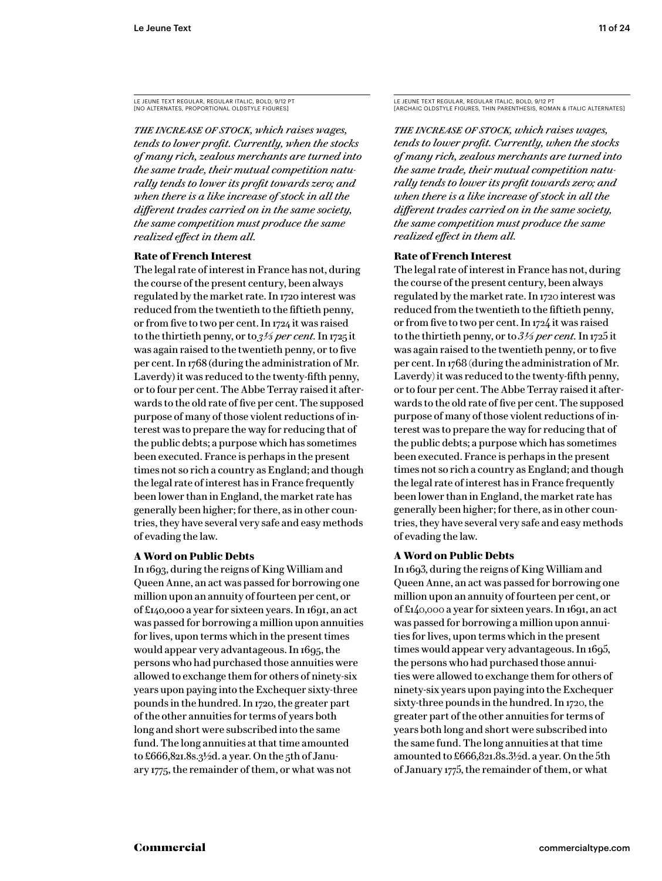*The increase of stock, which raises wages, tends to lower profit. Currently, when the stocks of many rich, zealous merchants are turned into the same trade, their mutual competition naturally tends to lower its profit towards zero; and when there is a like increase of stock in all the different trades carried on in the same society, the same competition must produce the same realized effect in them all.*

# **Rate of French Interest**

The legal rate of interest in France has not, during the course of the present century, been always regulated by the market rate. In 1720 interest was reduced from the twentieth to the fiftieth penny, or from five to two per cent. In 1724 it was raised to the thirtieth penny, or to *3 1/3 per cent.* In 1725 it was again raised to the twentieth penny, or to five per cent. In 1768 (during the administration of Mr. Laverdy) it was reduced to the twenty-fifth penny, or to four per cent. The Abbe Terray raised it afterwards to the old rate of five per cent. The supposed purpose of many of those violent reductions of interest was to prepare the way for reducing that of the public debts; a purpose which has sometimes been executed. France is perhaps in the present times not so rich a country as England; and though the legal rate of interest has in France frequently been lower than in England, the market rate has generally been higher; for there, as in other countries, they have several very safe and easy methods of evading the law.

# **A Word on Public Debts**

In 1693, during the reigns of King William and Queen Anne, an act was passed for borrowing one million upon an annuity of fourteen per cent, or of £140,000 a year for sixteen years. In 1691, an act was passed for borrowing a million upon annuities for lives, upon terms which in the present times would appear very advantageous. In 1695, the persons who had purchased those annuities were allowed to exchange them for others of ninety-six years upon paying into the Exchequer sixty-three pounds in the hundred. In 1720, the greater part of the other annuities for terms of years both long and short were subscribed into the same fund. The long annuities at that time amounted to £666,821.8s.3½d. a year. On the 5th of January 1775, the remainder of them, or what was not

LE JEUNE TEXT REGULAR, REGULAR ITALIC, BOLD, 9/12 PT [ARCHAIC OLDSTYLE FIGURES, THIN PARENTHESIS, ROMAN & ITALIC ALTERNATES]

*The increase of stock, which raises wages, tends to lower profit. Currently, when the stocks of many rich, zealous merchants are turned into the same trade, their mutual competition naturally tends to lower its profit towards zero; and when there is a like increase of stock in all the different trades carried on in the same society, the same competition must produce the same realized effect in them all.*

# **Rate of French Interest**

The legal rate of interest in France has not, during the course of the present century, been always regulated by the market rate. In 1720 interest was reduced from the twentieth to the fiftieth penny, or from five to two per cent. In 1724 it was raised to the thirtieth penny, or to *3 1/3 per cent.* In 1725 it was again raised to the twentieth penny, or to five per cent. In 1768 (during the administration of Mr. Laverdy) it was reduced to the twenty-fifth penny, or to four per cent. The Abbe Terray raised it afterwards to the old rate of five per cent. The supposed purpose of many of those violent reductions of interest was to prepare the way for reducing that of the public debts; a purpose which has sometimes been executed. France is perhaps in the present times not so rich a country as England; and though the legal rate of interest has in France frequently been lower than in England, the market rate has generally been higher; for there, as in other countries, they have several very safe and easy methods of evading the law.

# **A Word on Public Debts**

In 1693, during the reigns of King William and Queen Anne, an act was passed for borrowing one million upon an annuity of fourteen per cent, or of £140,000 a year for sixteen years. In 1691, an act was passed for borrowing a million upon annuities for lives, upon terms which in the present times would appear very advantageous. In 1695, the persons who had purchased those annuities were allowed to exchange them for others of ninety-six years upon paying into the Exchequer sixty-three pounds in the hundred. In 1720, the greater part of the other annuities for terms of years both long and short were subscribed into the same fund. The long annuities at that time amounted to £666,821.8s.3½d. a year. On the 5th of January 1775, the remainder of them, or what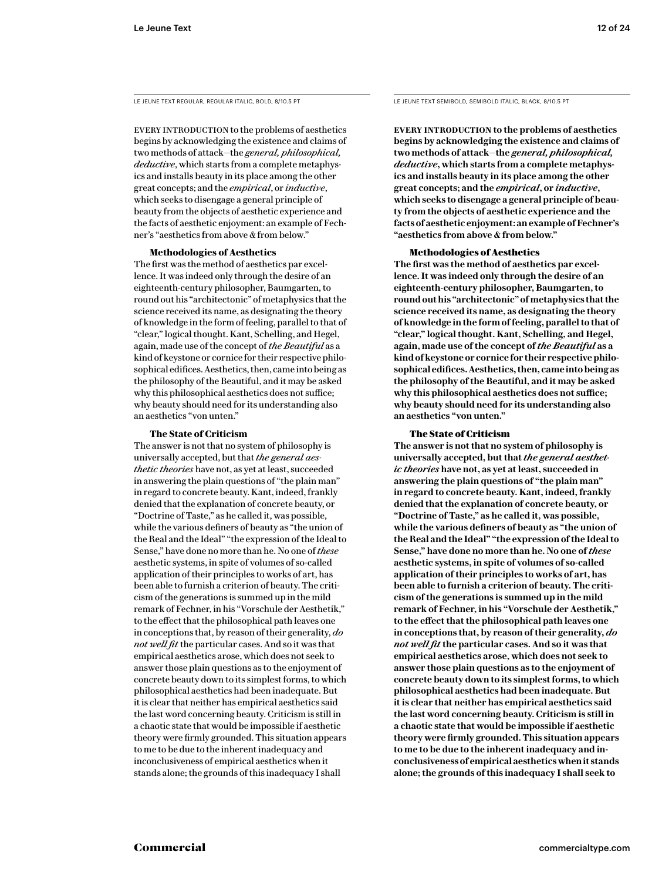EVERY INTRODUCTION to the problems of aesthetics begins by acknowledging the existence and claims of two methods of attack—the *general, philosophical, deductive*, which starts from a complete metaphysics and installs beauty in its place among the other great concepts; and the *empirical*, or *inductive*, which seeks to disengage a general principle of beauty from the objects of aesthetic experience and the facts of aesthetic enjoyment: an example of Fechner's "aesthetics from above & from below."

## **Methodologies of Aesthetics**

The first was the method of aesthetics par excellence. It was indeed only through the desire of an eighteenth-century philosopher, Baumgarten, to round out his "architectonic" of metaphysics that the science received its name, as designating the theory of knowledge in the form of feeling, parallel to that of "clear," logical thought. Kant, Schelling, and Hegel, again, made use of the concept of *the Beautiful* as a kind of keystone or cornice for their respective philosophical edifices. Aesthetics, then, came into being as the philosophy of the Beautiful, and it may be asked why this philosophical aesthetics does not suffice; why beauty should need for its understanding also an aesthetics "von unten."

#### **The State of Criticism**

The answer is not that no system of philosophy is universally accepted, but that *the general aesthetic theories* have not, as yet at least, succeeded in answering the plain questions of "the plain man" in regard to concrete beauty. Kant, indeed, frankly denied that the explanation of concrete beauty, or "Doctrine of Taste," as he called it, was possible, while the various definers of beauty as "the union of the Real and the Ideal" "the expression of the Ideal to Sense," have done no more than he. No one of *these* aesthetic systems, in spite of volumes of so-called application of their principles to works of art, has been able to furnish a criterion of beauty. The criticism of the generations is summed up in the mild remark of Fechner, in his "Vorschule der Aesthetik," to the effect that the philosophical path leaves one in conceptions that, by reason of their generality, *do not well fit* the particular cases. And so it was that empirical aesthetics arose, which does not seek to answer those plain questions as to the enjoyment of concrete beauty down to its simplest forms, to which philosophical aesthetics had been inadequate. But it is clear that neither has empirical aesthetics said the last word concerning beauty. Criticism is still in a chaotic state that would be impossible if aesthetic theory were firmly grounded. This situation appears to me to be due to the inherent inadequacy and inconclusiveness of empirical aesthetics when it stands alone; the grounds of this inadequacy I shall

LE JEUNE TEXT REGULAR, REGULAR ITALIC, BOLD, 8/10.5 PT LE JEUNE TEXT SEMIBOLD, SEMIBOLD ITALIC, BLACK, 8/10.5 PT

**Every introduction to the problems of aesthetics begins by acknowledging the existence and claims of two methods of attack—the** *general, philosophical, deductive***, which starts from a complete metaphysics and installs beauty in its place among the other great concepts; and the** *empirical***, or** *inductive***, which seeks to disengage a general principle of beauty from the objects of aesthetic experience and the facts of aesthetic enjoyment: an example of Fechner's "aesthetics from above & from below."** 

#### Methodologies of Aesthetics

**The first was the method of aesthetics par excellence. It was indeed only through the desire of an eighteenth-century philosopher, Baumgarten, to round out his "architectonic" of metaphysics that the science received its name, as designating the theory of knowledge in the form of feeling, parallel to that of "clear," logical thought. Kant, Schelling, and Hegel, again, made use of the concept of** *the Beautiful* **as a kind of keystone or cornice for their respective philosophical edifices. Aesthetics, then, came into being as the philosophy of the Beautiful, and it may be asked why this philosophical aesthetics does not suffice; why beauty should need for its understanding also an aesthetics "von unten."** 

#### The State of Criticism

**The answer is not that no system of philosophy is universally accepted, but that** *the general aesthetic theories* **have not, as yet at least, succeeded in answering the plain questions of "the plain man" in regard to concrete beauty. Kant, indeed, frankly denied that the explanation of concrete beauty, or "Doctrine of Taste," as he called it, was possible, while the various definers of beauty as "the union of the Real and the Ideal" "the expression of the Ideal to Sense," have done no more than he. No one of** *these* **aesthetic systems, in spite of volumes of so-called application of their principles to works of art, has been able to furnish a criterion of beauty. The criticism of the generations is summed up in the mild remark of Fechner, in his "Vorschule der Aesthetik," to the effect that the philosophical path leaves one in conceptions that, by reason of their generality,** *do not well fit* **the particular cases. And so it was that empirical aesthetics arose, which does not seek to answer those plain questions as to the enjoyment of concrete beauty down to its simplest forms, to which philosophical aesthetics had been inadequate. But it is clear that neither has empirical aesthetics said the last word concerning beauty. Criticism is still in a chaotic state that would be impossible if aesthetic theory were firmly grounded. This situation appears to me to be due to the inherent inadequacy and inconclusiveness of empirical aesthetics when it stands alone; the grounds of this inadequacy I shall seek to**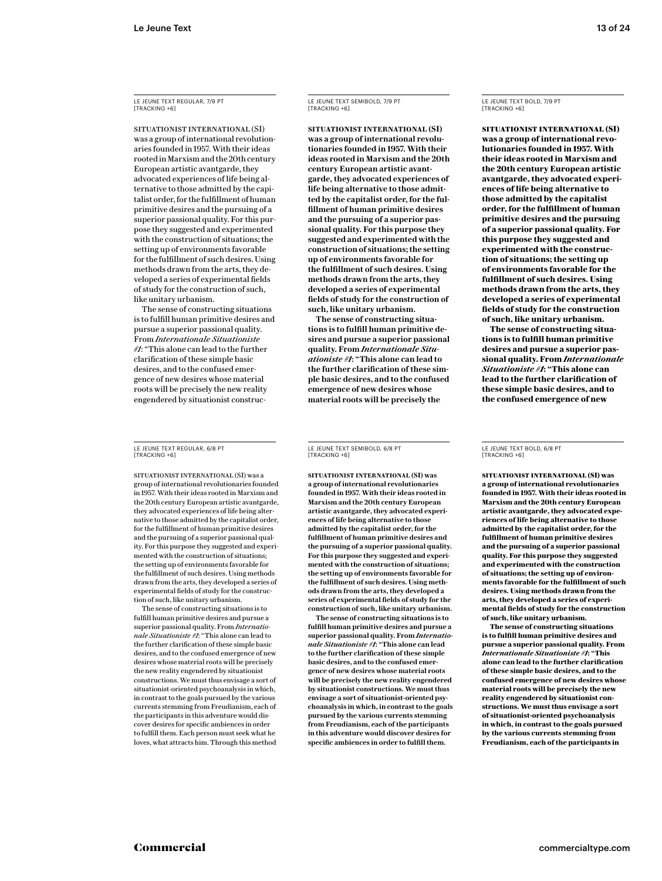LE JEUNE TEXT REGULAR, 7/9 PT [TRACKING +6]

SITUATIONIST INTERNATIONAL (SI) was a group of international revolutionaries founded in 1957. With their ideas rooted in Marxism and the 20th century European artistic avantgarde, they advocated experiences of life being alternative to those admitted by the capitalist order, for the fulfillment of human primitive desires and the pursuing of a superior passional quality. For this purpose they suggested and experimented with the construction of situations; the setting up of environments favorable for the fulfillment of such desires. Using methods drawn from the arts, they developed a series of experimental fields of study for the construction of such, like unitary urbanism.

The sense of constructing situations is to fulfill human primitive desires and pursue a superior passional quality. From *Internationale Situationiste #1*: "This alone can lead to the further clarification of these simple basic desires, and to the confused emergence of new desires whose material roots will be precisely the new reality engendered by situationist construc-

LE JEUNE TEXT REGULAR, 6/8 PT [TRACKING +6]

SITUATIONIST INTERNATIONAL (SI) was a group of international revolutionaries founded in 1957. With their ideas rooted in Marxism and the 20th century European artistic avantgarde, they advocated experiences of life being alternative to those admitted by the capitalist order, for the fulfillment of human primitive desires and the pursuing of a superior passional quality. For this purpose they suggested and experimented with the construction of situations; the setting up of environments favorable for the fulfillment of such desires. Using methods drawn from the arts, they developed a series of experimental fields of study for the construction of such, like unitary urbanism.

The sense of constructing situations is to fulfill human primitive desires and pursue a superior passional quality. From *Internationale Situationiste #1*: "This alone can lead to the further clarification of these simple basic desires, and to the confused emergence of new desires whose material roots will be precisely the new reality engendered by situationist constructions. We must thus envisage a sort of situationist-oriented psychoanalysis in which, in contrast to the goals pursued by the various currents stemming from Freudianism, each of the participants in this adventure would discover desires for specific ambiences in order to fulfill them. Each person must seek what he loves, what attracts him. Through this method LE JEUNE TEXT SEMIBOLD, 7/9 PT [TRACKING +6]

**SITUATIONIST INTERNATIONAL (SI) was a group of international revolutionaries founded in 1957. With their ideas rooted in Marxism and the 20th century European artistic avantgarde, they advocated experiences of life being alternative to those admitted by the capitalist order, for the fulfillment of human primitive desires and the pursuing of a superior passional quality. For this purpose they suggested and experimented with the construction of situations; the setting up of environments favorable for the fulfillment of such desires. Using methods drawn from the arts, they developed a series of experimental fields of study for the construction of such, like unitary urbanism.**

**The sense of constructing situations is to fulfill human primitive desires and pursue a superior passional quality. From** *Internationale Situationiste #1***: "This alone can lead to the further clarification of these simple basic desires, and to the confused emergence of new desires whose material roots will be precisely the** 

LE JEUNE TEXT BOLD, 7/9 PT [TRACKING +6]

**SITUATIONIST INTERNATIONAL (SI) was a group of international revolutionaries founded in 1957. With their ideas rooted in Marxism and the 20th century European artistic avantgarde, they advocated experiences of life being alternative to those admitted by the capitalist order, for the fulfillment of human primitive desires and the pursuing of a superior passional quality. For this purpose they suggested and experimented with the construction of situations; the setting up of environments favorable for the fulfillment of such desires. Using methods drawn from the arts, they developed a series of experimental fields of study for the construction of such, like unitary urbanism.**

**The sense of constructing situations is to fulfill human primitive desires and pursue a superior passional quality. From** *Internationale Situationiste #1***: "This alone can lead to the further clarification of these simple basic desires, and to the confused emergence of new** 

LE JEUNE TEXT SEMIBOLD, 6/8 PT [TRACKING +6]

**SITUATIONIST INTERNATIONAL (SI) was a group of international revolutionaries founded in 1957. With their ideas rooted in Marxism and the 20th century European artistic avantgarde, they advocated experiences of life being alternative to those admitted by the capitalist order, for the fulfillment of human primitive desires and the pursuing of a superior passional quality. For this purpose they suggested and experimented with the construction of situations; the setting up of environments favorable for the fulfillment of such desires. Using methods drawn from the arts, they developed a series of experimental fields of study for the construction of such, like unitary urbanism.**

**The sense of constructing situations is to fulfill human primitive desires and pursue a superior passional quality. From** *Internationale Situationiste #1***: "This alone can lead to the further clarification of these simple basic desires, and to the confused emergence of new desires whose material roots will be precisely the new reality engendered by situationist constructions. We must thus envisage a sort of situationist-oriented psychoanalysis in which, in contrast to the goals pursued by the various currents stemming from Freudianism, each of the participants in this adventure would discover desires for specific ambiences in order to fulfill them.** 

LE JEUNE TEXT BOLD, 6/8 PT [TRACKING +6]

**SITUATIONIST INTERNATIONAL (SI) was a group of international revolutionaries founded in 1957. With their ideas rooted in Marxism and the 20th century European artistic avantgarde, they advocated experiences of life being alternative to those admitted by the capitalist order, for the fulfillment of human primitive desires and the pursuing of a superior passional quality. For this purpose they suggested and experimented with the construction of situations; the setting up of environments favorable for the fulfillment of such desires. Using methods drawn from the arts, they developed a series of experimental fields of study for the construction of such, like unitary urbanism.**

**The sense of constructing situations is to fulfill human primitive desires and pursue a superior passional quality. From**  *Internationale Situationiste #1***: "This alone can lead to the further clarification of these simple basic desires, and to the confused emergence of new desires whose material roots will be precisely the new reality engendered by situationist constructions. We must thus envisage a sort of situationist-oriented psychoanalysis in which, in contrast to the goals pursued by the various currents stemming from Freudianism, each of the participants in**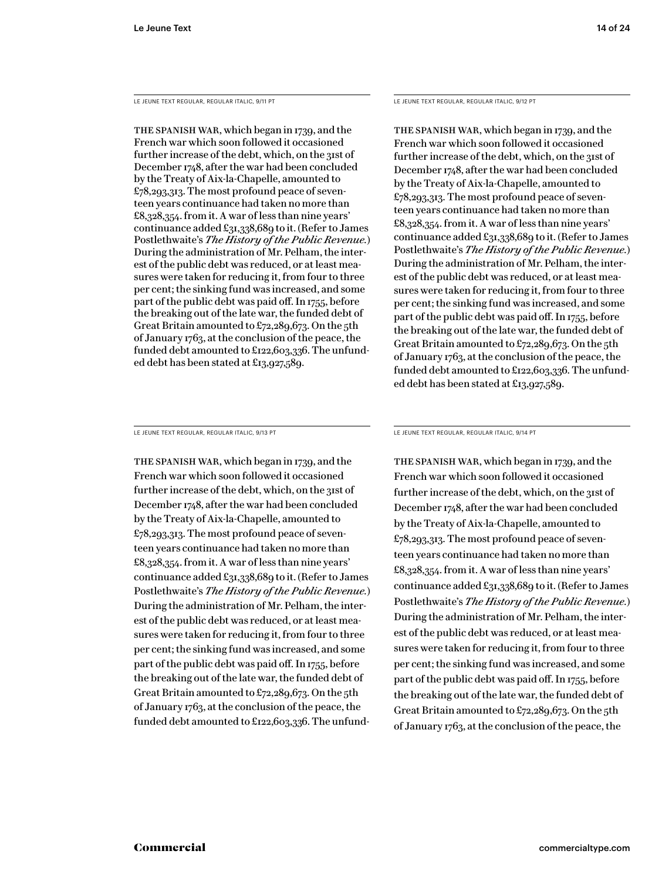LE JEUNE TEXT REGULAR, REGULAR ITALIC, 9/11 PT

The Spanish War, which began in 1739, and the French war which soon followed it occasioned further increase of the debt, which, on the 31st of December 1748, after the war had been concluded by the Treaty of Aix-la-Chapelle, amounted to £78,293,313. The most profound peace of seventeen years continuance had taken no more than £8,328,354. from it. A war of less than nine years' continuance added £31,338,689 to it. (Refer to James Postlethwaite's *The History of the Public Revenue*.) During the administration of Mr. Pelham, the interest of the public debt was reduced, or at least measures were taken for reducing it, from four to three per cent; the sinking fund was increased, and some part of the public debt was paid off. In 1755, before the breaking out of the late war, the funded debt of Great Britain amounted to  $\pounds$ 72,289,673. On the 5th of January 1763, at the conclusion of the peace, the funded debt amounted to £122,603,336. The unfunded debt has been stated at £13,927,589.

LE JEUNE TEXT REGULAR, REGULAR ITALIC, 9/13 PT

The Spanish War, which began in 1739, and the French war which soon followed it occasioned further increase of the debt, which, on the 31st of December 1748, after the war had been concluded by the Treaty of Aix-la-Chapelle, amounted to £78,293,313. The most profound peace of seventeen years continuance had taken no more than £8,328,354. from it. A war of less than nine years' continuance added £31,338,689 to it. (Refer to James Postlethwaite's *The History of the Public Revenue.*) During the administration of Mr. Pelham, the interest of the public debt was reduced, or at least measures were taken for reducing it, from four to three per cent; the sinking fund was increased, and some part of the public debt was paid off. In 1755, before the breaking out of the late war, the funded debt of Great Britain amounted to  $\pounds$ 72,289,673. On the 5th of January 1763, at the conclusion of the peace, the funded debt amounted to £122,603,336. The unfundLE JEUNE TEXT REGULAR, REGULAR ITALIC, 9/12 PT

The Spanish War, which began in 1739, and the French war which soon followed it occasioned further increase of the debt, which, on the 31st of December 1748, after the war had been concluded by the Treaty of Aix-la-Chapelle, amounted to £78,293,313. The most profound peace of seventeen years continuance had taken no more than £8,328,354. from it. A war of less than nine years' continuance added £31,338,689 to it. (Refer to James Postlethwaite's *The History of the Public Revenue.*) During the administration of Mr. Pelham, the interest of the public debt was reduced, or at least measures were taken for reducing it, from four to three per cent; the sinking fund was increased, and some part of the public debt was paid off. In 1755, before the breaking out of the late war, the funded debt of Great Britain amounted to £72,289,673. On the 5th of January 1763, at the conclusion of the peace, the funded debt amounted to £122,603,336. The unfunded debt has been stated at £13,927,589.

LE JEUNE TEXT REGULAR, REGULAR ITALIC, 9/14 PT

The Spanish War, which began in 1739, and the French war which soon followed it occasioned further increase of the debt, which, on the 31st of December 1748, after the war had been concluded by the Treaty of Aix-la-Chapelle, amounted to £78,293,313. The most profound peace of seventeen years continuance had taken no more than £8,328,354. from it. A war of less than nine years' continuance added £31,338,689 to it. (Refer to James Postlethwaite's *The History of the Public Revenue*.) During the administration of Mr. Pelham, the interest of the public debt was reduced, or at least measures were taken for reducing it, from four to three per cent; the sinking fund was increased, and some part of the public debt was paid off. In 1755, before the breaking out of the late war, the funded debt of Great Britain amounted to £72,289,673. On the 5th of January 1763, at the conclusion of the peace, the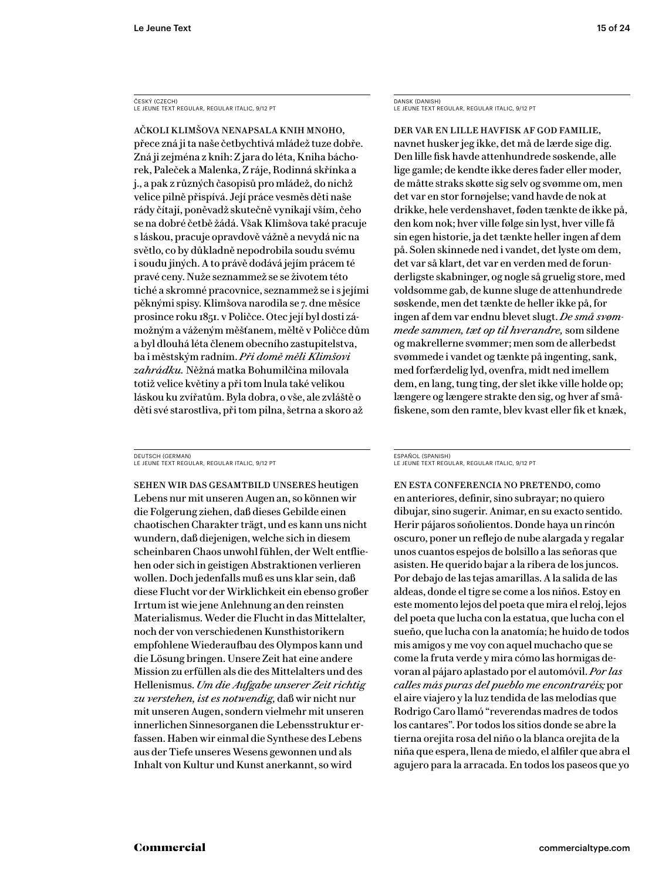ČESKÝ (CZECH) LE JEUNE TEXT REGULAR, REGULAR ITALIC, 9/12 PT

Ačkoli klimšova nenapsala knih mnoho, přece zná ji ta naše četbychtivá mládež tuze dobře. Zná ji zejména z knih: Z jara do léta, Kniha báchorek, Paleček a Malenka, Z ráje, Rodinná skřínka a j., a pak z různých časopisů pro mládež, do nichž velice pilně přispívá. Její práce vesměs děti naše rády čítají, poněvadž skutečně vynikají vším, čeho se na dobré četbě žádá. Však Klimšova také pracuje s láskou, pracuje opravdově vážně a nevydá nic na světlo, co by důkladně nepodrobila soudu svému i soudu jiných. A to právě dodává jejím prácem té pravé ceny. Nuže seznammež se se životem této tiché a skromné pracovnice, seznammež se i s jejími pěknými spisy. Klimšova narodila se 7. dne měsíce prosince roku 1851. v Poličce. Otec její byl dosti zámožným a váženým měšťanem, měltě v Poličce dům a byl dlouhá léta členem obecního zastupitelstva, ba i městským radním. *Při domě měli Klimšovi zahrádku.* Něžná matka Bohumilčina milovala totiž velice květiny a při tom lnula také velikou láskou ku zvířatům. Byla dobra, o vše, ale zvláště o děti své starostliva, při tom pilna, šetrna a skoro až

DEUTSCH (GERMAN) LE JEUNE TEXT REGULAR, REGULAR ITALIC, 9/12 PT

Sehen wir das Gesamtbild unseres heutigen Lebens nur mit unseren Augen an, so können wir die Folgerung ziehen, daß dieses Gebilde einen chaotischen Charakter trägt, und es kann uns nicht wundern, daß diejenigen, welche sich in diesem scheinbaren Chaos unwohl fühlen, der Welt entfliehen oder sich in geistigen Abstraktionen verlieren wollen. Doch jedenfalls muß es uns klar sein, daß diese Flucht vor der Wirklichkeit ein ebenso großer Irrtum ist wie jene Anlehnung an den reinsten Materialismus. Weder die Flucht in das Mittelalter, noch der von verschiedenen Kunsthistorikern empfohlene Wiederaufbau des Olympos kann und die Lösung bringen. Unsere Zeit hat eine andere Mission zu erfüllen als die des Mittelalters und des Hellenismus. *Um die Aufgabe unserer Zeit richtig zu verstehen, ist es notwendig,* daß wir nicht nur mit unseren Augen, sondern vielmehr mit unseren innerlichen Sinnesorganen die Lebensstruktur erfassen. Haben wir einmal die Synthese des Lebens aus der Tiefe unseres Wesens gewonnen und als Inhalt von Kultur und Kunst anerkannt, so wird

DANSK (DANISH) LE JEUNE TEXT REGULAR, REGULAR ITALIC, 9/12 PT

Der var en lille havfisk af god familie, navnet husker jeg ikke, det må de lærde sige dig. Den lille fisk havde attenhundrede søskende, alle lige gamle; de kendte ikke deres fader eller moder, de måtte straks skøtte sig selv og svømme om, men det var en stor fornøjelse; vand havde de nok at drikke, hele verdenshavet, føden tænkte de ikke på, den kom nok; hver ville følge sin lyst, hver ville få sin egen historie, ja det tænkte heller ingen af dem på. Solen skinnede ned i vandet, det lyste om dem, det var så klart, det var en verden med de forunderligste skabninger, og nogle så gruelig store, med voldsomme gab, de kunne sluge de attenhundrede søskende, men det tænkte de heller ikke på, for ingen af dem var endnu blevet slugt. *De små svømmede sammen, tæt op til hverandre,* som sildene og makrellerne svømmer; men som de allerbedst svømmede i vandet og tænkte på ingenting, sank, med forfærdelig lyd, ovenfra, midt ned imellem dem, en lang, tung ting, der slet ikke ville holde op; længere og længere strakte den sig, og hver af småfiskene, som den ramte, blev kvast eller fik et knæk,

#### ESPAÑOL (SPANISH) LE JEUNE TEXT REGULAR, REGULAR ITALIC, 9/12 PT

En esta conferencia no pretendo, como en anteriores, definir, sino subrayar; no quiero dibujar, sino sugerir. Animar, en su exacto sentido. Herir pájaros soñolientos. Donde haya un rincón oscuro, poner un reflejo de nube alargada y regalar unos cuantos espejos de bolsillo a las señoras que asisten. He querido bajar a la ribera de los juncos. Por debajo de las tejas amarillas. A la salida de las aldeas, donde el tigre se come a los niños. Estoy en este momento lejos del poeta que mira el reloj, lejos del poeta que lucha con la estatua, que lucha con el sueño, que lucha con la anatomía; he huido de todos mis amigos y me voy con aquel muchacho que se come la fruta verde y mira cómo las hormigas devoran al pájaro aplastado por el automóvil. *Por las calles más puras del pueblo me encontraréis;* por el aire viajero y la luz tendida de las melodías que Rodrigo Caro llamó "reverendas madres de todos los cantares". Por todos los sitios donde se abre la tierna orejita rosa del niño o la blanca orejita de la niña que espera, llena de miedo, el alfiler que abra el agujero para la arracada. En todos los paseos que yo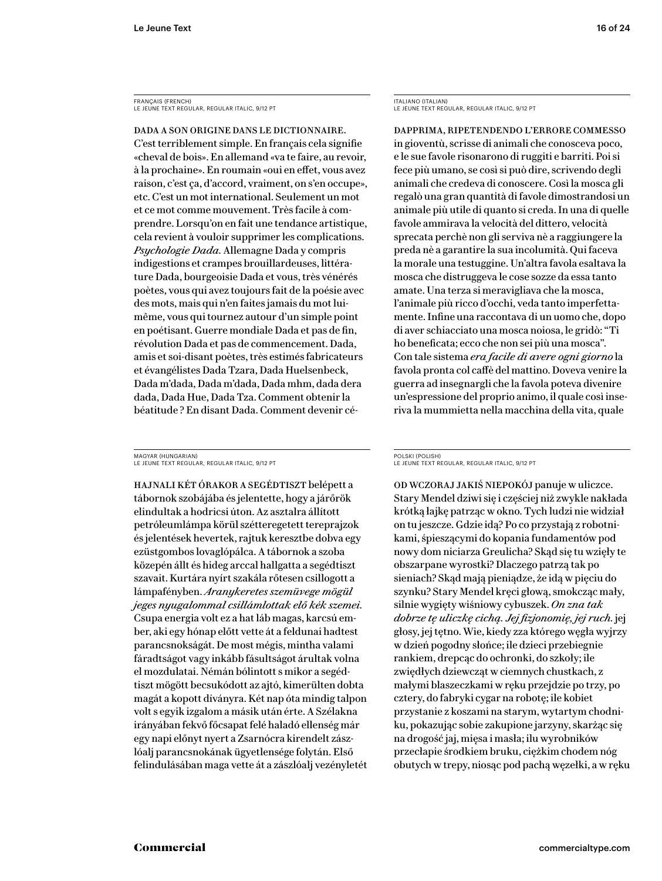FRANÇAIS (FRENCH) LE JEUNE TEXT REGULAR, REGULAR ITALIC, 9/12 PT

Dada a son origine dans le dictionnaire. C'est terriblement simple. En français cela signifie «cheval de bois». En allemand «va te faire, au revoir, à la prochaine». En roumain «oui en effet, vous avez raison, c'est ça, d'accord, vraiment, on s'en occupe», etc. C'est un mot international. Seulement un mot et ce mot comme mouvement. Très facile à comprendre. Lorsqu'on en fait une tendance artistique, cela revient à vouloir supprimer les complications. *Psychologie Dada.* Allemagne Dada y compris indigestions et crampes brouillardeuses, littérature Dada, bourgeoisie Dada et vous, très vénérés poètes, vous qui avez toujours fait de la poésie avec des mots, mais qui n'en faites jamais du mot luimême, vous qui tournez autour d'un simple point en poétisant. Guerre mondiale Dada et pas de fin, révolution Dada et pas de commencement. Dada, amis et soi-disant poètes, très estimés fabricateurs et évangélistes Dada Tzara, Dada Huelsenbeck, Dada m'dada, Dada m'dada, Dada mhm, dada dera dada, Dada Hue, Dada Tza. Comment obtenir la béatitude ? En disant Dada. Comment devenir cé-

MAGYAR (HUNGARIAN) LE JEUNE TEXT REGULAR, REGULAR ITALIC, 9/12 PT

Hajnali két órakor a segédtiszt belépett a tábornok szobájába és jelentette, hogy a járőrök elindultak a hodricsi úton. Az asztalra állított petróleumlámpa körül szétteregetett tereprajzok és jelentések hevertek, rajtuk keresztbe dobva egy ezüstgombos lovaglópálca. A tábornok a szoba közepén állt és hideg arccal hallgatta a segédtiszt szavait. Kurtára nyírt szakála rőtesen csillogott a lámpafényben. *Aranykeretes szemüvege mögül jeges nyugalommal csillámlottak elő kék szemei.* Csupa energia volt ez a hat láb magas, karcsú ember, aki egy hónap előtt vette át a feldunai hadtest parancsnokságát. De most mégis, mintha valami fáradtságot vagy inkább fásultságot árultak volna el mozdulatai. Némán bólintott s mikor a segédtiszt mögött becsukódott az ajtó, kimerülten dobta magát a kopott díványra. Két nap óta mindig talpon volt s egyik izgalom a másik után érte. A Szélakna irányában fekvő főcsapat felé haladó ellenség már egy napi előnyt nyert a Zsarnócra kirendelt zászlóalj parancsnokának ügyetlensége folytán. Első felindulásában maga vette át a zászlóalj vezényletét ITALIANO (ITALIAN) LE JEUNE TEXT REGULAR, REGULAR ITALIC, 9/12 PT

Dapprima, ripetendendo l'errore commesso in gioventù, scrisse di animali che conosceva poco, e le sue favole risonarono di ruggiti e barriti. Poi si fece più umano, se così si può dire, scrivendo degli animali che credeva di conoscere. Così la mosca gli regalò una gran quantità di favole dimostrandosi un animale più utile di quanto si creda. In una di quelle favole ammirava la velocità del dittero, velocità sprecata perchè non gli serviva nè a raggiungere la preda nè a garantire la sua incolumità. Qui faceva la morale una testuggine. Un'altra favola esaltava la mosca che distruggeva le cose sozze da essa tanto amate. Una terza si meravigliava che la mosca, l'animale più ricco d'occhi, veda tanto imperfettamente. Infine una raccontava di un uomo che, dopo di aver schiacciato una mosca noiosa, le gridò: "Ti ho beneficata; ecco che non sei più una mosca". Con tale sistema *era facile di avere ogni giorno* la favola pronta col caffè del mattino. Doveva venire la guerra ad insegnargli che la favola poteva divenire un'espressione del proprio animo, il quale così inseriva la mummietta nella macchina della vita, quale

#### POLSKI (POLISH) LE JEUNE TEXT REGULAR, REGULAR ITALIC, 9/12 PT

Od wczoraj jakiś niepokój panuje w uliczce. Stary Mendel dziwi się i częściej niż zwykle nakłada krótką łajkę patrząc w okno. Tych ludzi nie widział on tu jeszcze. Gdzie idą? Po co przystają z robotnikami, śpieszącymi do kopania fundamentów pod nowy dom niciarza Greulicha? Skąd się tu wzięły te obszarpane wyrostki? Dlaczego patrzą tak po sieniach? Skąd mają pieniądze, że idą w pięciu do szynku? Stary Mendel kręci głową, smokcząc mały, silnie wygięty wiśniowy cybuszek. *On zna tak dobrze tę uliczkę cichą. Jej fizjonomię, jej ruch.* jej głosy, jej tętno. Wie, kiedy zza którego węgła wyjrzy w dzień pogodny słońce; ile dzieci przebiegnie rankiem, drepcąc do ochronki, do szkoły; ile zwiędłych dziewcząt w ciemnych chustkach, z małymi blaszeczkami w ręku przejdzie po trzy, po cztery, do fabryki cygar na robotę; ile kobiet przystanie z koszami na starym, wytartym chodniku, pokazując sobie zakupione jarzyny, skarżąc się na drogość jaj, mięsa i masła; ilu wyrobników przecłapie środkiem bruku, ciężkim chodem nóg obutych w trepy, niosąc pod pachą węzełki, a w ręku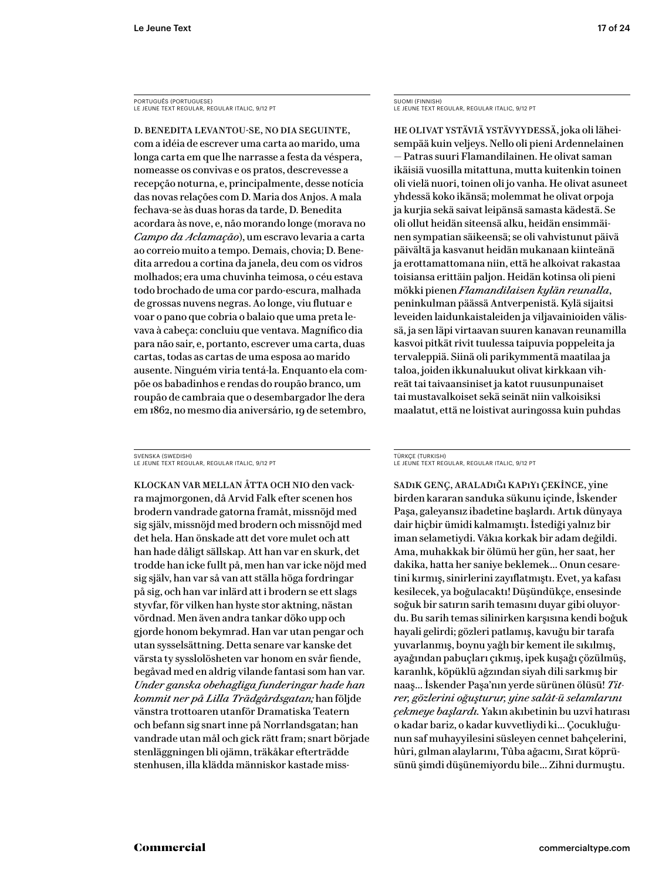PORTUGUÊS (PORTUGUESE) LE JEUNE TEXT REGULAR, REGULAR ITALIC, 9/12 PT

D. Benedita levantou-se, no dia seguinte, com a idéia de escrever uma carta ao marido, uma longa carta em que lhe narrasse a festa da véspera, nomeasse os convivas e os pratos, descrevesse a recepção noturna, e, principalmente, desse notícia das novas relações com D. Maria dos Anjos. A mala fechava-se às duas horas da tarde, D. Benedita acordara às nove, e, não morando longe (morava no *Campo da Aclamação*), um escravo levaria a carta ao correio muito a tempo. Demais, chovia; D. Benedita arredou a cortina da janela, deu com os vidros molhados; era uma chuvinha teimosa, o céu estava todo brochado de uma cor pardo-escura, malhada de grossas nuvens negras. Ao longe, viu flutuar e voar o pano que cobria o balaio que uma preta levava à cabeça: concluiu que ventava. Magnífico dia para não sair, e, portanto, escrever uma carta, duas cartas, todas as cartas de uma esposa ao marido ausente. Ninguém viria tentá-la. Enquanto ela compõe os babadinhos e rendas do roupão branco, um roupão de cambraia que o desembargador lhe dera em 1862, no mesmo dia aniversário, 19 de setembro,

SVENSKA (SWEDISH) LE JEUNE TEXT REGULAR, REGULAR ITALIC, 9/12 PT

Klockan var mellan åtta och nio den vackra majmorgonen, då Arvid Falk efter scenen hos brodern vandrade gatorna framåt, missnöjd med sig själv, missnöjd med brodern och missnöjd med det hela. Han önskade att det vore mulet och att han hade dåligt sällskap. Att han var en skurk, det trodde han icke fullt på, men han var icke nöjd med sig själv, han var så van att ställa höga fordringar på sig, och han var inlärd att i brodern se ett slags styvfar, för vilken han hyste stor aktning, nästan vördnad. Men även andra tankar döko upp och gjorde honom bekymrad. Han var utan pengar och utan sysselsättning. Detta senare var kanske det värsta ty sysslolösheten var honom en svår fiende, begåvad med en aldrig vilande fantasi som han var. *Under ganska obehagliga funderingar hade han kommit ner på Lilla Trädgårdsgatan;* han följde vänstra trottoaren utanför Dramatiska Teatern och befann sig snart inne på Norrlandsgatan; han vandrade utan mål och gick rätt fram; snart började stenläggningen bli ojämn, träkåkar efterträdde stenhusen, illa klädda människor kastade missSUOMI (FINNISH) LE JEUNE TEXT REGULAR, REGULAR ITALIC, 9/12 PT

He olivat ystäviä ystävyydessä, joka oli läheisempää kuin veljeys. Nello oli pieni Ardennelainen — Patras suuri Flamandilainen. He olivat saman ikäisiä vuosilla mitattuna, mutta kuitenkin toinen oli vielä nuori, toinen oli jo vanha. He olivat asuneet yhdessä koko ikänsä; molemmat he olivat orpoja ja kurjia sekä saivat leipänsä samasta kädestä. Se oli ollut heidän siteensä alku, heidän ensimmäinen sympatian säikeensä; se oli vahvistunut päivä päivältä ja kasvanut heidän mukanaan kiinteänä ja erottamattomana niin, että he alkoivat rakastaa toisiansa erittäin paljon. Heidän kotinsa oli pieni mökki pienen *F lamandilaisen kylän reunalla*, peninkulman päässä Antverpenistä. Kylä sijaitsi leveiden laidunkaistaleiden ja viljavainioiden välissä, ja sen läpi virtaavan suuren kanavan reunamilla kasvoi pitkät rivit tuulessa taipuvia poppeleita ja tervaleppiä. Siinä oli parikymmentä maatilaa ja taloa, joiden ikkunaluukut olivat kirkkaan vihreät tai taivaansiniset ja katot ruusunpunaiset tai mustavalkoiset sekä seinät niin valkoisiksi maalatut, että ne loistivat auringossa kuin puhdas

TÜRKÇE (TURKISH) LE JEUNE TEXT REGULAR, REGULAR ITALIC, 9/12 PT

Sadık genç, araladığı kapıyı çekince, yine birden kararan sanduka sükunu içinde, İskender Paşa, galeyansız ibadetine başlardı. Artık dünyaya dair hiçbir ümidi kalmamıştı. İstediği yalnız bir iman selametiydi. Vâkıa korkak bir adam değildi. Ama, muhakkak bir ölümü her gün, her saat, her dakika, hatta her saniye beklemek… Onun cesaretini kırmış, sinirlerini zayıflatmıştı. Evet, ya kafası kesilecek, ya boğulacaktı! Düşündükçe, ensesinde soğuk bir satırın sarih temasını duyar gibi oluyordu. Bu sarih temas silinirken karşısına kendi boğuk hayali gelirdi; gözleri patlamış, kavuğu bir tarafa yuvarlanmış, boynu yağlı bir kement ile sıkılmış, ayağından pabuçları çıkmış, ipek kuşağı çözülmüş, karanlık, köpüklü ağzından siyah dili sarkmış bir naaş... İskender Paşa'nın yerde sürünen ölüsü! Tit*rer, gözlerini oğuşturur, yine salât-ü selamlarını çekmeye başlardı.* Yakın akıbetinin bu uzvî hatırası o kadar bariz, o kadar kuvvetliydi ki… Çocukluğunun saf muhayyilesini süsleyen cennet bahçelerini, hûri, gılman alaylarını, Tûba ağacını, Sırat köprüsünü şimdi düşünemiyordu bile… Zihni durmuştu.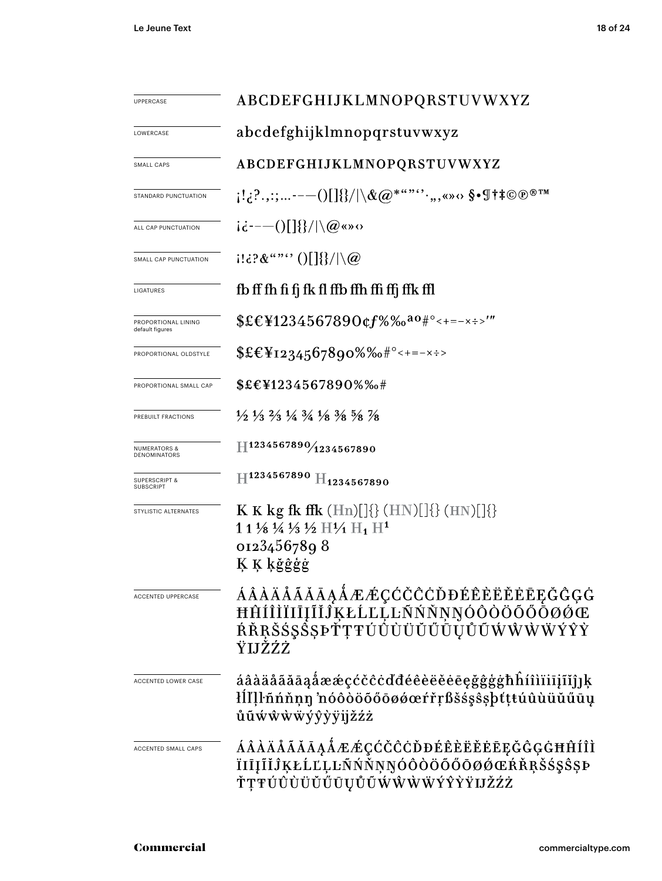| UPPERCASE                                    | ABCDEFGHIJKLMNOPQRSTUVWXYZ                                                                                                                                                                                                                                                                                                                                         |  |  |  |  |
|----------------------------------------------|--------------------------------------------------------------------------------------------------------------------------------------------------------------------------------------------------------------------------------------------------------------------------------------------------------------------------------------------------------------------|--|--|--|--|
| LOWERCASE                                    | abcdefghijklmnopqrstuvwxyz                                                                                                                                                                                                                                                                                                                                         |  |  |  |  |
| SMALL CAPS                                   | ABCDEFGHIJKLMNOPQRSTUVWXYZ                                                                                                                                                                                                                                                                                                                                         |  |  |  |  |
| STANDARD PUNCTUATION                         | $\{1,\ldots,\ldots\} \setminus \{1\} \cup \{1\} \cup \{1\} \cup \{1\} \cup \{1\} \cup \{1\} \cup \{1\} \cup \{1\} \cup \{1\} \cup \{1\} \cup \{1\} \cup \{1\} \cup \{1\} \cup \{1\} \cup \{1\} \cup \{1\} \cup \{1\} \cup \{1\} \cup \{1\} \cup \{1\} \cup \{1\} \cup \{1\} \cup \{1\} \cup \{1\} \cup \{1\} \cup \{1\} \cup \{1\} \cup \{1\} \cup \{1\} \cup \{1$ |  |  |  |  |
| ALL CAP PUNCTUATION                          | $i\dot{\epsilon}$ ---()[]{}/ \@«»0                                                                                                                                                                                                                                                                                                                                 |  |  |  |  |
| SMALL CAP PUNCTUATION                        | $(11\cdot3\cdot8\cdot\cdot\cdot\cdot))$ $($ $\frac{1}{3}$ / $\setminus\omega$                                                                                                                                                                                                                                                                                      |  |  |  |  |
| LIGATURES                                    | fb ff fh fi fj fk fl ffb ffh ffi ffj ffk ffl                                                                                                                                                                                                                                                                                                                       |  |  |  |  |
| PROPORTIONAL LINING<br>default figures       | $$EEY1234567890$ $cf\%$ %0 <sup>a0#°</sup> < + = - x : >'"                                                                                                                                                                                                                                                                                                         |  |  |  |  |
| PROPORTIONAL OLDSTYLE                        | $EE_{1234567890\%6\#^{\circ}\leq t=-x\div}$                                                                                                                                                                                                                                                                                                                        |  |  |  |  |
| PROPORTIONAL SMALL CAP                       | $$EEY1234567890\%$ %#                                                                                                                                                                                                                                                                                                                                              |  |  |  |  |
| PREBUILT FRACTIONS                           | $\frac{1}{2}$ $\frac{1}{3}$ $\frac{2}{3}$ $\frac{1}{4}$ $\frac{3}{4}$ $\frac{1}{8}$ $\frac{3}{8}$ $\frac{5}{8}$ $\frac{7}{8}$                                                                                                                                                                                                                                      |  |  |  |  |
| <b>NUMERATORS &amp;</b><br>DENOMINATORS      | $\text{H}^{1234567890/1234567890}$                                                                                                                                                                                                                                                                                                                                 |  |  |  |  |
| <b>SUPERSCRIPT &amp;</b><br><b>SUBSCRIPT</b> | $\rm{H}^{1234567890}$ $\rm{H}_{1234567890}$                                                                                                                                                                                                                                                                                                                        |  |  |  |  |
| STYLISTIC ALTERNATES                         | <b>K K</b> kg fk ffk $(Hn)[]\{\}$ $(HN)[]\{\}$ $(HN)[]\{\}$<br>1 1 1/8 1/4 1/3 1/2 $\rm{H1_1 H1^1}$<br>01234567898<br>K K kğĝģģ                                                                                                                                                                                                                                    |  |  |  |  |
| <b>ACCENTED UPPERCASE</b>                    | <i><b>AAAAAAAAAAÆÆÇĆČĈĊĎĐÉÊÈËĚĒĘĞĜĢĠ</b></i><br>ĦĤÍÎÌÏIĪĮĨĬĴĶŁĹĽĻĿÑŃŇŅŊÓÔŎŎŐŌØØŒ<br>ŔŘŖŠŚŞŠŞÞŤŢŦÚÛÙÜŬŰŨŲŮŨŴŴŴŸŶŶ<br>ŸIJŽŹŻ                                                                                                                                                                                                                                         |  |  |  |  |
| ACCENTED LOWER CASE                          | áâàäåãăāaåææçćčĉċďđéêèëěēegğĝģġħĥíîìïiījĩǐĵ]ķ<br>łĺľļŀñńňņŋ 'nóôòöõőōøǿœŕřŗßšśşŝşþťţŧúûùüŭűūų<br>ůũẃŵẁẅýŷỳÿijžźż                                                                                                                                                                                                                                                   |  |  |  |  |
| ACCENTED SMALL CAPS                          | ÁÂÀÄÅÃĂĀĄÅÆÆÇĆČĈĊĎĐÉÊÈËĚĒĘĞĜĢĠĦĤÍÎÌ<br>ÏIĪĮĨĬĴĶŁĹĽĻĿÑŃŇŅŊÓÔŎÖŐŐŌØŒŔŘŖŠ\$ŞŜŞÞ<br>ŤŢŦÚÛÙÜŬŰŪŲŮŨŴŴŴŴÝŶŶŸIJŽŹŻ                                                                                                                                                                                                                                                         |  |  |  |  |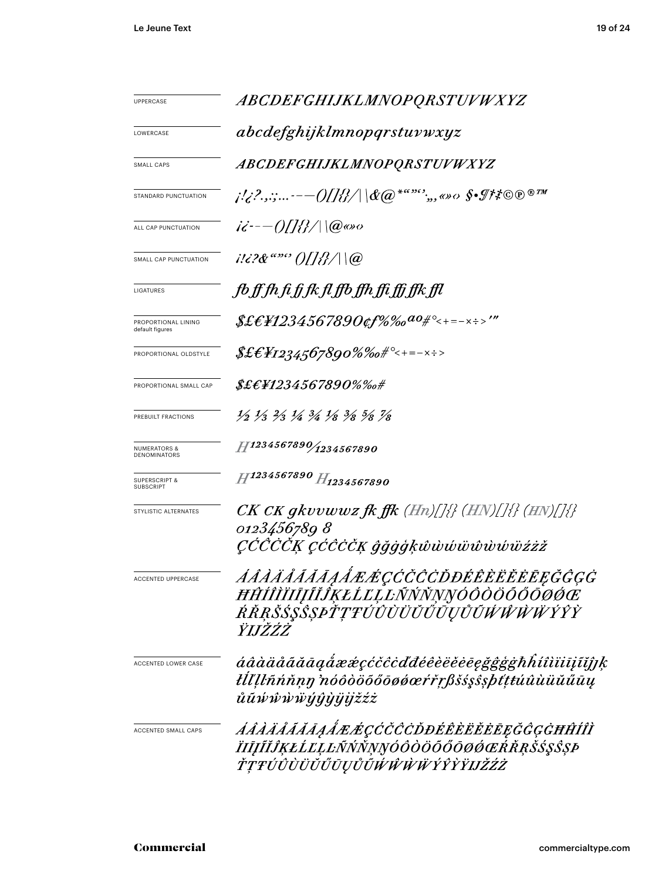| <b>UPPERCASE</b>                             | ABCDEFGHIJKLMNOPQRSTUVWXYZ                                                                                                           |  |  |  |  |  |
|----------------------------------------------|--------------------------------------------------------------------------------------------------------------------------------------|--|--|--|--|--|
| LOWERCASE                                    | abcdefghijklmnopqrstuvwxyz                                                                                                           |  |  |  |  |  |
| <b>SMALL CAPS</b>                            | ABCDEFGHIJKLMNOPQRSTUVWXYZ                                                                                                           |  |  |  |  |  |
| STANDARD PUNCTUATION                         |                                                                                                                                      |  |  |  |  |  |
| ALL CAP PUNCTUATION                          | $i\ddot{\epsilon}$ - $-$ ()[]{}/ \@@o                                                                                                |  |  |  |  |  |
| SMALL CAP PUNCTUATION                        | $i!i$ ?& "" ()[]{}/ \@                                                                                                               |  |  |  |  |  |
| LIGATURES                                    | fb ff fh fi fj fk fl ffb ffh ffi ffj ffk ffl                                                                                         |  |  |  |  |  |
| PROPORTIONAL LINING<br>default figures       | $$ \pounds \pounds \pounds \pounds \pounds 1234567890$ of $\% \%o^{a_0} \#^{\circ}<\,+= - \times \div \times^{\prime \prime \prime}$ |  |  |  |  |  |
| PROPORTIONAL OLDSTYLE                        | $\text{\textit{SE}}\text{\textit{E}}\text{\textit{H}}\text{\textit{12}}34.567890\% \%$ o# $^{\circ}<$ +=- $\times$ ÷>                |  |  |  |  |  |
| PROPORTIONAL SMALL CAP                       | $$£E$ ¥1234567890%‰#                                                                                                                 |  |  |  |  |  |
| PREBUILT FRACTIONS                           | $\frac{1}{2}$ $\frac{1}{3}$ $\frac{2}{3}$ $\frac{1}{4}$ $\frac{3}{4}$ $\frac{1}{8}$ $\frac{3}{8}$ $\frac{5}{8}$ $\frac{7}{8}$        |  |  |  |  |  |
| <b>NUMERATORS &amp;</b><br>DENOMINATORS      | $H^{1234567890}/_{1234567890}$                                                                                                       |  |  |  |  |  |
| <b>SUPERSCRIPT &amp;</b><br><b>SUBSCRIPT</b> | H1234567890 H1234567890                                                                                                              |  |  |  |  |  |
| STYLISTIC ALTERNATES                         | $CK\,CK\,gkvvwwz\,f\!k\,f\!f\!k\,(Hn)/[\frac{1}{2}\,(HN)/[\frac{1}{2}\,(HN)]\frac{1}{2}\}$                                           |  |  |  |  |  |
|                                              | 0123456789 8<br>ÇĆĆČČĶ ÇĆĈĊČĶ ĝğġģķŵẁŵŵŵŵŵïźżž                                                                                       |  |  |  |  |  |
| ACCENTED UPPERCASE                           | <i>AAAÄÄÄÄĀĄÅÆÆÇĆČČČDĐÉÊÈËĔĔĒĘĞĜĢĠ</i><br>ĦĤÍÎÌĬIJĮĨĬĴĶŁĹĽĻĿÑŃŇŅŊÓÔÒÖŐŐŌØĆŒ<br>ŔŔŖŠŚŞŜŞPŤŢŦŰŨÙŬŬŬŨŲŮŨŴŴŴŸŶŶ<br>ŸIJŽŹŻ                |  |  |  |  |  |
| ACCENTED LOWER CASE                          | áâàäåããāaaåææçćčĉcďđéêèëĕēegğgggħĥíîìïiijíĭjĵķ<br>łĺľ Įlñńňṇŋ 'nóôòöõőōøøæŕřŗßšśşŝşþť ttúûùüŭűūų<br>ůũŵŵŵẅýŷỳÿijžźż                  |  |  |  |  |  |
| ACCENTED SMALL CAPS                          | <i>ÁÂÀÄÅÃĂĀĄÅÆÆÇĆČĈĊĎĐÉÊÈËĔĔĒĘĞĜĢĠĦĤÍÎÌ</i><br>ÏIJĨĬĴĶŁĹĽĻĿÑŃŇŅŊÓÔÒÖŐŐŌØŔŔŖŠŚŞŜŞÞ<br>ŤŢŦÚÛÙÜŬŰŪŲŮŨŴŴŴŴÝŶŶŸIJŽŹŻ                      |  |  |  |  |  |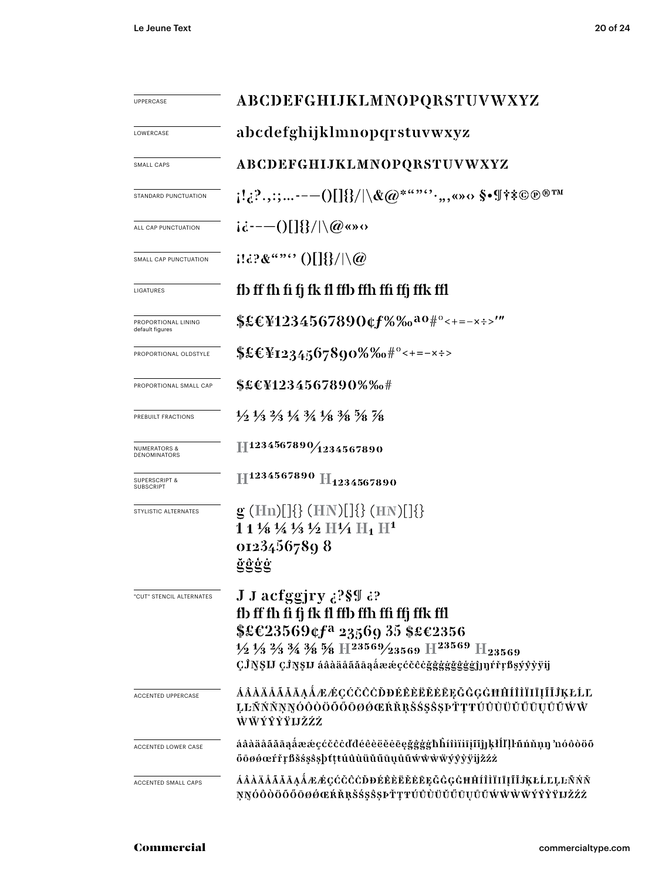| <b>UPPERCASE</b>                             | ABCDEFGHIJKLMNOPQRSTUVWXYZ                                                                                                                                                                                                                                                                                                            |  |  |  |  |  |
|----------------------------------------------|---------------------------------------------------------------------------------------------------------------------------------------------------------------------------------------------------------------------------------------------------------------------------------------------------------------------------------------|--|--|--|--|--|
| LOWERCASE                                    | abcdefghijklmnopqrstuvwxyz                                                                                                                                                                                                                                                                                                            |  |  |  |  |  |
| SMALL CAPS                                   | ABCDEFGHIJKLMNOPQRSTUVWXYZ                                                                                                                                                                                                                                                                                                            |  |  |  |  |  |
| STANDARD PUNCTUATION                         | $\{1,2^2,3^2,---0[1]\}\}/ \backslash \&Q^{****},3^*,\cdots,8^*$ of $\{\ast\}\ast\mathbb{C}$ $\mathbb{D}^{\,\oplus\,TM}$                                                                                                                                                                                                               |  |  |  |  |  |
| ALL CAP PUNCTUATION                          | $i\dot{\alpha}$ ---()[]{}/ \@«»0                                                                                                                                                                                                                                                                                                      |  |  |  |  |  |
| SMALL CAP PUNCTUATION                        | $1132\&$ "" $0$ [] $\}/\sqrt{a}$                                                                                                                                                                                                                                                                                                      |  |  |  |  |  |
| LIGATURES                                    | fb ff fh fi fj fk fl ffb ffh ffi ffj ffk ffl                                                                                                                                                                                                                                                                                          |  |  |  |  |  |
| PROPORTIONAL LINING<br>default figures       | $$E&Y1234567890$ cf%‰ <sup>a0#°</sup> <+=-x÷>'"                                                                                                                                                                                                                                                                                       |  |  |  |  |  |
| PROPORTIONAL OLDSTYLE                        | $$£CY1234567890\%%0$ #°<+=-x÷>                                                                                                                                                                                                                                                                                                        |  |  |  |  |  |
| PROPORTIONAL SMALL CAP                       | \$£€¥1234567890%‰#                                                                                                                                                                                                                                                                                                                    |  |  |  |  |  |
| PREBUILT FRACTIONS                           | $\frac{1}{2}$ $\frac{1}{3}$ $\frac{2}{3}$ $\frac{1}{4}$ $\frac{3}{4}$ $\frac{1}{8}$ $\frac{3}{8}$ $\frac{5}{8}$ $\frac{7}{8}$                                                                                                                                                                                                         |  |  |  |  |  |
| <b>NUMERATORS &amp;</b><br>DENOMINATORS      | $\mathbb{H}^{1234567890}/\mathbb{1}^{234567890}$                                                                                                                                                                                                                                                                                      |  |  |  |  |  |
| <b>SUPERSCRIPT &amp;</b><br><b>SUBSCRIPT</b> | H <sub>1234567890</sub> H <sub>1234567890</sub>                                                                                                                                                                                                                                                                                       |  |  |  |  |  |
| STYLISTIC ALTERNATES                         | $g$ (Hn)[]{} (HN)[]{} (HN)[]{}<br>$11\frac{1}{8}\frac{1}{4}\frac{1}{3}\frac{1}{2}$ H $\frac{1}{4}$ H <sub>1</sub> H <sup>1</sup><br>01234567898<br><u>ğĝģġ</u>                                                                                                                                                                        |  |  |  |  |  |
| "CUT" STENCIL ALTERNATES                     | J J acfggjry 39 39<br>fb ff fh fi fj fk fl ffb ffh ffi ffj ffk ffl<br>\$£€23569¢f <sup>a</sup> 23569 35 \$£€2356<br>$\frac{1}{2}$ $\frac{1}{3}$ $\frac{2}{3}$ $\frac{3}{4}$ $\frac{3}{8}$ $\frac{5}{8}$ H $\frac{23569}{23569}$ H $\frac{23569}{123569}$ H <sub>23569</sub><br>ÇĴŊŞIJ ÇĴŊŞIJ áâàäåããąåææçćčĉċğĝģġğğğğğj]]]rřŗßşýŷỳÿij |  |  |  |  |  |
| ACCENTED UPPERCASE                           | <u>ÁÂÀÄÄÄÄÄAÁÆÆÇĆČČÖÐÉÈÈËĚĒEĘĞĜĢĠĦĤÍÌÌĪIĪĮĨĬĴĶŁĹĽ</u><br>ĻĿÑŃŇŅŊÓŎŎŎŐŐŌØØŒŔŘŖŠŚŞŜŞÞŤŢŦŬŨÙŬŬŬŨŲŮŨŴŴ<br>ŴŴÝŶŶŸIJŽŹŻ                                                                                                                                                                                                                     |  |  |  |  |  |
| ACCENTED LOWER CASE                          | áâàäåãăāąåææçćčĉċďđéêèëěēęğĝġġħĥíîìïiīįĩĭjĵķłĺľļŀñńňņŋ 'nóôòöõ<br>őöøøœŕřŗßšśşŝşþtttúûùüŭűūụůũwŵŵŸýỳÿijžźż                                                                                                                                                                                                                            |  |  |  |  |  |
| <b>ACCENTED SMALL CAPS</b>                   | ÁÂÀÄÄÄÄÄĄÅÆÆÇĆČČÒĐÉÊÈËĔĔĘĞĜĢĠĦĤÍÎÌÏIĮĨĬĴĶŁĹĽĻĿÑŃŇ<br>ŅŊÓŎŎŎŐŎØØŒŔŘŖŠŚŞŜŞÞŤŢŦŬŨÙŬŬŬŨŲŮŨŴŴŴŸŶŶŸIJŽŹŻ                                                                                                                                                                                                                                    |  |  |  |  |  |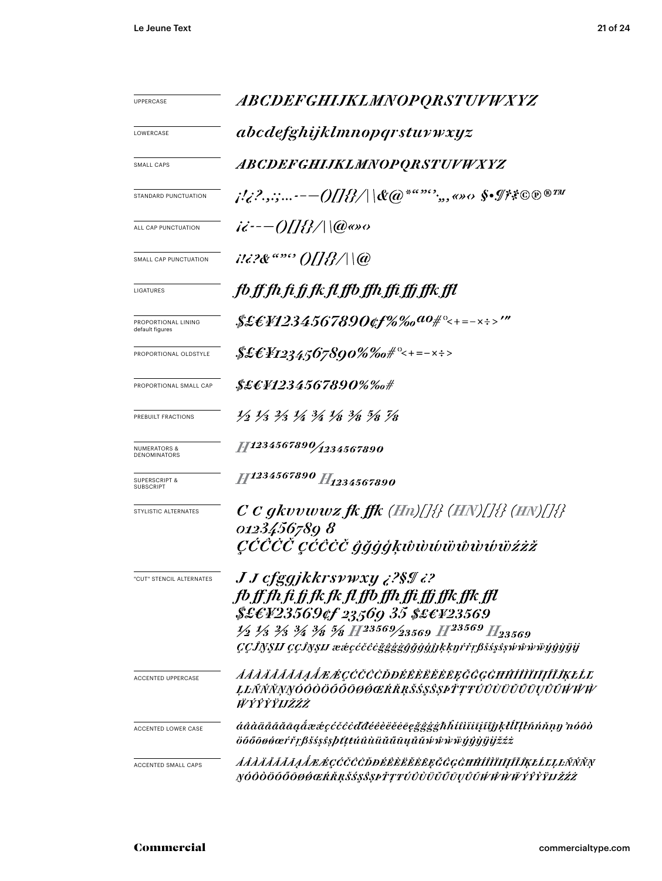| UPPERCASE                                    | ABCDEFGHIJKLMNOPQRSTUVWXYZ                                                                                                                                                                                                                                                                                                                       |  |  |  |  |  |
|----------------------------------------------|--------------------------------------------------------------------------------------------------------------------------------------------------------------------------------------------------------------------------------------------------------------------------------------------------------------------------------------------------|--|--|--|--|--|
| LOWERCASE                                    | abcdefghijklmnopqrstuvwxyz                                                                                                                                                                                                                                                                                                                       |  |  |  |  |  |
| <b>SMALL CAPS</b>                            | <i>ABCDEFGHIJKLMNOPQRSTUVWXYZ</i>                                                                                                                                                                                                                                                                                                                |  |  |  |  |  |
| STANDARD PUNCTUATION                         | j!¿?.,:;-— $O\!I\!I\!B\!/\! \&\!@$ *"" $\,\hat{}\,\,\,\,$ ;,, <>> $\diamond$ \$• $\mathscr{I}$ ?** $\circledcirc\circ$ ®##                                                                                                                                                                                                                       |  |  |  |  |  |
| ALL CAP PUNCTUATION                          | $i\dot{\epsilon}$ - $-$ ()[]{}/ \@@so                                                                                                                                                                                                                                                                                                            |  |  |  |  |  |
| SMALL CAP PUNCTUATION                        |                                                                                                                                                                                                                                                                                                                                                  |  |  |  |  |  |
| LIGATURES                                    | fb ff fh fi fj fk fl ffb ffh ffi ffj ffk ffl                                                                                                                                                                                                                                                                                                     |  |  |  |  |  |
| PROPORTIONAL LINING<br>default figures       | \$£EF1234567890¢f%‰ <sup>ao</sup> #°<+=-×÷>'"                                                                                                                                                                                                                                                                                                    |  |  |  |  |  |
| PROPORTIONAL OLDSTYLE                        | $\frac{1}{2}\mathcal{E}\mathcal{E}Y_{12345}$ 67890%‰# $^{\circ}<+=-x$ ÷>                                                                                                                                                                                                                                                                         |  |  |  |  |  |
| PROPORTIONAL SMALL CAP                       | \$£E¥1234567890%‰#                                                                                                                                                                                                                                                                                                                               |  |  |  |  |  |
| PREBUILT FRACTIONS                           | $\frac{1}{2}$ $\frac{1}{3}$ $\frac{2}{3}$ $\frac{1}{4}$ $\frac{3}{4}$ $\frac{1}{8}$ $\frac{3}{8}$ $\frac{5}{8}$ $\frac{7}{8}$                                                                                                                                                                                                                    |  |  |  |  |  |
| <b>NUMERATORS &amp;</b><br>DENOMINATORS      | 11234567890/1234567890                                                                                                                                                                                                                                                                                                                           |  |  |  |  |  |
| <b>SUPERSCRIPT &amp;</b><br><b>SUBSCRIPT</b> | H1234567890 H <sub>1234567890</sub>                                                                                                                                                                                                                                                                                                              |  |  |  |  |  |
| STYLISTIC ALTERNATES                         | $C$ C gkvvwwz fk ffk (Hn)[]{} (HN)[]{} (HN)[]{}<br>01234567898<br>$\mathit{C}\acute{C}\mathit{C}\acute{C}\acute{C}\acute{C}\acute{C}\acute{C}\acute{C}\acute{G}$ ğğğ $\acute{g}$ kŵwwwwwwwibziz                                                                                                                                                  |  |  |  |  |  |
| "CUT" STENCIL ALTERNATES                     | <i>J J cfggjkkrsywxy ¿?§¶ ¿?</i><br>fb ff fh fi fj fk fk fl ffb ffh ffi ffj ffk ffk ffl<br>\$£E¥23569¢f 23569 35 \$£E¥23569<br>$\frac{1}{2}$ $\frac{1}{3}$ $\frac{2}{3}$ $\frac{3}{4}$ $\frac{3}{8}$ $\frac{5}{8}$ H <sup>23569</sup> /23569 H <sup>23569</sup> H <sub>23569</sub><br>ÇÇÎNŞIJ ÇÇÎNŞIJ ææçćčĉeğgggğğğğğhkkyŕřŗβšss\$swŵŵŵïyŷŷijij |  |  |  |  |  |
| <b>ACCENTED UPPERCASE</b>                    | <i>AAAÄÄÄÄĀAA EGCCCCDDÉÊÈËËËE E GGGHĤÍÎÌÏIĮĨĨĴĶŁĹĽ</i><br>ĻĿŇŃŇŅŊÓŎŎŎŐŐŌØŎŒŔŘŖŠŚŞŜŞÞŤŢŦÚŮÙŬŬŰŪŲŮŨŴŴŴ<br>ŴŶŶŶŸIJŽŹŻ                                                                                                                                                                                                                               |  |  |  |  |  |
| ACCENTED LOWER CASE                          | áâàäåããāąåææçćčĉċďđéêèëěēegggghĥítìïiiiiijīijkłĺľlŀñńňņŋ 'nóôò<br>öőőōøøœŕřŗßšśşŝşþtttúûùüŭűūųůũŵŵŵijýŷġijijžźż                                                                                                                                                                                                                                  |  |  |  |  |  |
| ACCENTED SMALL CAPS                          | <i>ÁÁÁÄÁÁÁÁAÁÆÆÇĆČČÖÐÉÊÈËĚĖĒĘĞĜGĠĦĤÍÎÌĪIJĨĬĴĶŁĹĽĻĿÑŃŇŅ</i><br>ŊÓŎŎŎŐŎŌØŔŒŔŘŖŠŚŞŜŞÞŤŢŦÚÛÙŬŬŰŨŲŮŨŴŴŴŴŶŶŶŸIJŽŹŻ                                                                                                                                                                                                                                     |  |  |  |  |  |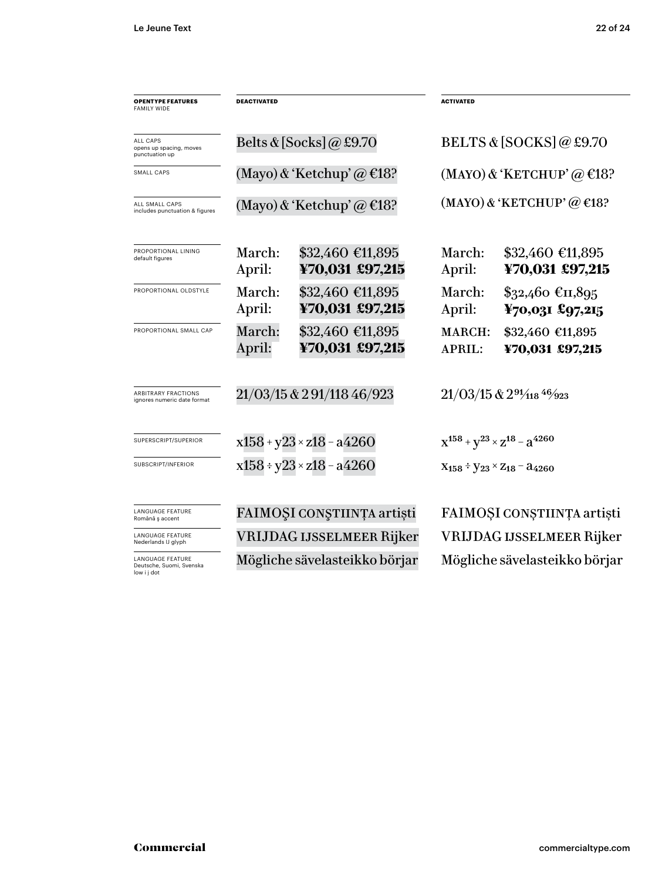| <b>OPENTYPE FEATURES</b><br><b>FAMILY WIDE</b>                     | <b>DEACTIVATED</b>           |                                     | <b>ACTIVATED</b>                                        |                                      |  |
|--------------------------------------------------------------------|------------------------------|-------------------------------------|---------------------------------------------------------|--------------------------------------|--|
| <b>ALL CAPS</b><br>opens up spacing, moves<br>punctuation up       |                              | Belts & [Socks] @ £9.70             | BELTS & [SOCKS] @ £9.70<br>(MAYO) & 'KETCHUP' @ $E$ 18? |                                      |  |
| SMALL CAPS                                                         |                              | (Mayo) & 'Ketchup' @ $E$ 18?        |                                                         |                                      |  |
| ALL SMALL CAPS<br>includes punctuation & figures                   | (Mayo) & 'Ketchup' @ $E$ 18? |                                     | $(MAYO)$ & 'KETCHUP' $@$ €18?                           |                                      |  |
| PROPORTIONAL LINING<br>default figures                             | March:<br>April:             | \$32,460 €11,895<br>¥70,031 £97,215 | March:<br>April:                                        | $$32,460$ €11,895<br>¥70,031 £97,215 |  |
| PROPORTIONAL OLDSTYLE                                              | March:<br>April:             | \$32,460 €11,895<br>¥70,031 £97,215 | March:<br>April:                                        | $$32,460$ €II,895<br>¥70,031 £97,215 |  |
| PROPORTIONAL SMALL CAP                                             | March:<br>April:             | \$32,460 €11,895<br>¥70,031 £97,215 | <b>MARCH:</b><br><b>APRIL:</b>                          | \$32,460 €11,895<br>¥70,031 £97,215  |  |
| ARBITRARY FRACTIONS<br>ignores numeric date format                 |                              | 21/03/15 & 291/118 46/923           | $21/03/15$ & $29\frac{1}{18}$ 46/923                    |                                      |  |
| SUPERSCRIPT/SUPERIOR                                               |                              | $x158 + y23 \times z18 - a4260$     | $x^{158} + y^{23} \times z^{18} - a^{4260}$             |                                      |  |
| SUBSCRIPT/INFERIOR                                                 |                              | $x158 \div y23 \times z18 - a4260$  | $X_{158} \div Y_{23} \times Z_{18} - 34260$             |                                      |  |
| <b>LANGUAGE FEATURE</b><br>Română ș accent                         | FAIMOȘI CONȘTIINȚA artiști   |                                     | FAIMOȘI CONȘTIINȚA artiști                              |                                      |  |
| <b>LANGUAGE FEATURE</b><br>Nederlands IJ glyph                     |                              | VRIJDAG IJSSELMEER Rijker           | VRIJDAG IJSSELMEER Rijker                               |                                      |  |
| <b>LANGUAGE FEATURE</b><br>Deutsche, Suomi, Svenska<br>low i j dot |                              | Mögliche sävelasteikko börjar       |                                                         | Mögliche sävelasteikko börjar        |  |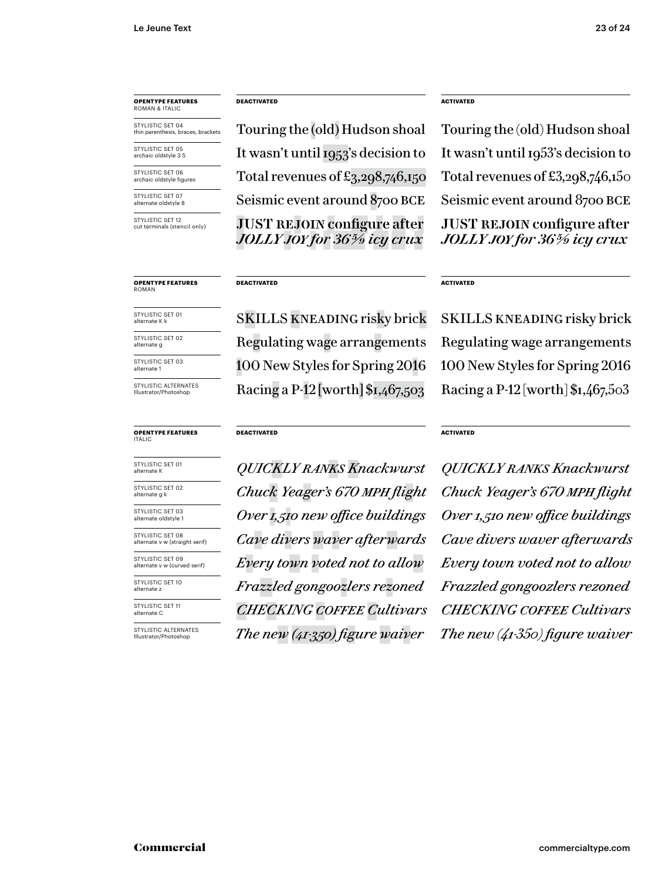# **OPENTYPE FEATURES** ROMAN & ITALIC

STYLISTIC SET 04 thin parenthesis, braces, brackets

STYLISTIC SET 05 archaic oldstyle 3 5

STYLISTIC SET 06 archaic oldstyle figures

STYLISTIC SET 07 alternate oldstyle 8

STYLISTIC SET 12 cut terminals (stencil only)

#### **OPENTYPE FEATURES** ROMAN

STYLISTIC SET 01 alternate K k

STYLISTIC SET 03 STYLISTIC SET 02 alternate g

alternate 1

STYLISTIC ALTERNATES Illustrator/Photo

#### **OPENTYPE FEATURES** ITALIC

STYLISTIC SET 01 alternate K

STYLISTIC SET 02 alternate g k

STYLISTIC SET 03 alternate oldstyle 1

STYLISTIC SET 08 alternate v w (straight serif)

STYLISTIC SET 09 alternate v w (curved serif)

STYLISTIC SET 10 alternate z

STYLISTIC SET 11 alternate C

STYLISTIC ALTERNATES Illustrator/Photoshop

## **DEACTIVATED ACTIVATED**

**JUST REJOIN configure after** *JOLLY joy for 36 5/9 icy crux* Touring the (old) Hudson shoal Touring the (old) Hudson shoal It wasn't until 1953's decision to Total revenues of  $\pounds_{3,29}8$ ,  $746$ ,  $150$  Total revenues of  $\pounds_{3,29}8$ ,  $746$ ,  $150$ Seismic event around 8700 BCE Seismic event around 8700 BCE

## **DEACTIVATED**

**DEACTIVATED**

100 New Styles for Spring 2016 Racing a P-12 [worth] \$1,467,503 Racing a P-12 [worth] \$1,467,503

**JUST REJOIN configure after** *JOLLY joy for 36 5/9 icy crux* It wasn't until 1953's decision to

## **ACTIVATED**

SKILLS kneading risky brick SKILLS kneading risky brick 100 New Styles for Spring 2016 Regulating wage arrangements Regulating wage arrangements

*QUICKLY ranks Knackwurst O ver 1, 510 new office buildings O ver 1, 510 new office buildings Chuck Yeager's 670 mph flight Chuck Yeager's 670 mph flight Cave divers waver afterwards Cave divers waver afterwards Every town voted not to allow Every town voted not to allow Frazzled gongoozlers rezoned F razzled gongoozlers rezoned CHECKING coffee Cultivars CHECKING coffee Cultivars The new (41-3 50) figure waiver The new (41-350) figure waiver*

**ACTIVATED**

*QUICKLY ranks Knackwurst*